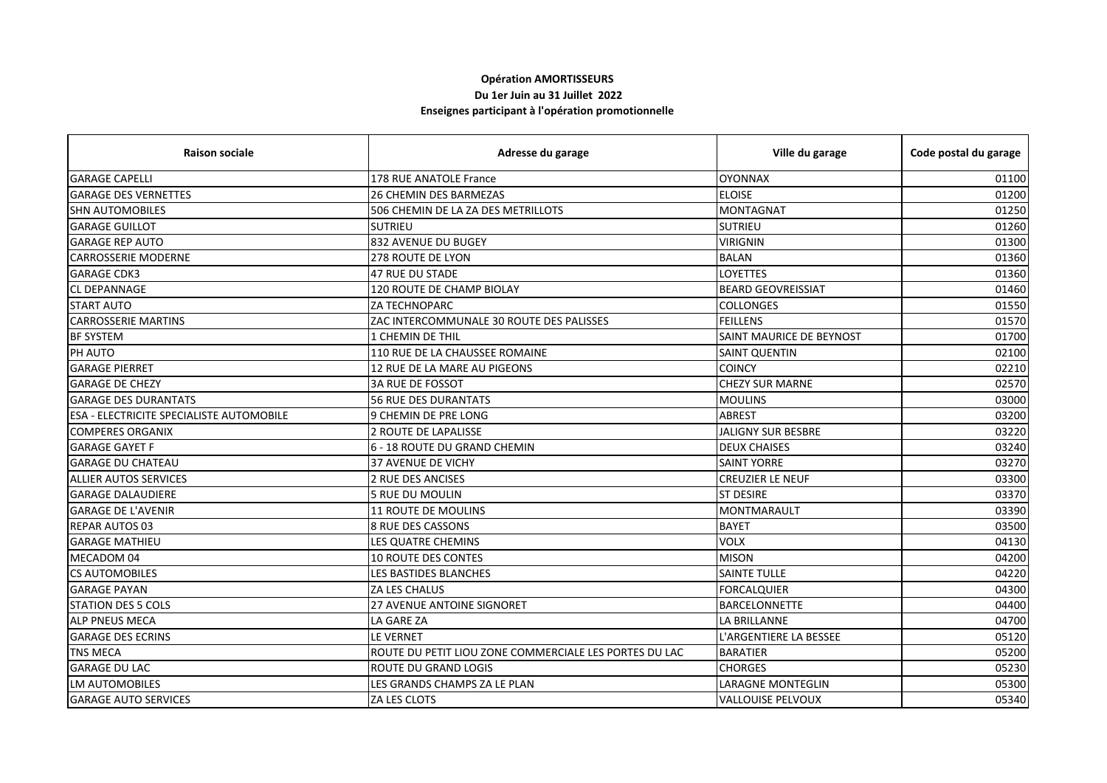## **Opération AMORTISSEURS**

## **Du 1er Juin au 31 Juillet 2022**

## **Enseignes participant à l'opération promotionnelle**

| <b>Raison sociale</b>                    | Adresse du garage                                      | Ville du garage           | Code postal du garage |
|------------------------------------------|--------------------------------------------------------|---------------------------|-----------------------|
| <b>GARAGE CAPELLI</b>                    | 178 RUE ANATOLE France                                 | <b>OYONNAX</b>            | 01100                 |
| <b>GARAGE DES VERNETTES</b>              | <b>26 CHEMIN DES BARMEZAS</b>                          | <b>ELOISE</b>             | 01200                 |
| <b>SHN AUTOMOBILES</b>                   | 506 CHEMIN DE LA ZA DES METRILLOTS                     | <b>MONTAGNAT</b>          | 01250                 |
| <b>GARAGE GUILLOT</b>                    | <b>SUTRIEU</b>                                         | <b>SUTRIEU</b>            | 01260                 |
| <b>GARAGE REP AUTO</b>                   | 832 AVENUE DU BUGEY                                    | <b>VIRIGNIN</b>           | 01300                 |
| <b>CARROSSERIE MODERNE</b>               | 278 ROUTE DE LYON                                      | <b>BALAN</b>              | 01360                 |
| <b>GARAGE CDK3</b>                       | 47 RUE DU STADE                                        | LOYETTES                  | 01360                 |
| <b>CL DEPANNAGE</b>                      | 120 ROUTE DE CHAMP BIOLAY                              | <b>BEARD GEOVREISSIAT</b> | 01460                 |
| <b>START AUTO</b>                        | ZA TECHNOPARC                                          | COLLONGES                 | 01550                 |
| <b>CARROSSERIE MARTINS</b>               | ZAC INTERCOMMUNALE 30 ROUTE DES PALISSES               | <b>FEILLENS</b>           | 01570                 |
| <b>BF SYSTEM</b>                         | <b>1 CHEMIN DE THIL</b>                                | SAINT MAURICE DE BEYNOST  | 01700                 |
| PH AUTO                                  | 110 RUE DE LA CHAUSSEE ROMAINE                         | <b>SAINT QUENTIN</b>      | 02100                 |
| <b>GARAGE PIERRET</b>                    | 12 RUE DE LA MARE AU PIGEONS                           | <b>COINCY</b>             | 02210                 |
| <b>GARAGE DE CHEZY</b>                   | <b>3A RUE DE FOSSOT</b>                                | <b>CHEZY SUR MARNE</b>    | 02570                 |
| <b>GARAGE DES DURANTATS</b>              | <b>56 RUE DES DURANTATS</b>                            | <b>MOULINS</b>            | 03000                 |
| ESA - ELECTRICITE SPECIALISTE AUTOMOBILE | 9 CHEMIN DE PRE LONG                                   | <b>ABREST</b>             | 03200                 |
| <b>COMPERES ORGANIX</b>                  | 2 ROUTE DE LAPALISSE                                   | <b>JALIGNY SUR BESBRE</b> | 03220                 |
| <b>GARAGE GAYET F</b>                    | 6 - 18 ROUTE DU GRAND CHEMIN                           | <b>DEUX CHAISES</b>       | 03240                 |
| <b>GARAGE DU CHATEAU</b>                 | 37 AVENUE DE VICHY                                     | <b>SAINT YORRE</b>        | 03270                 |
| ALLIER AUTOS SERVICES                    | <b>2 RUE DES ANCISES</b>                               | <b>CREUZIER LE NEUF</b>   | 03300                 |
| <b>GARAGE DALAUDIERE</b>                 | <b>5 RUE DU MOULIN</b>                                 | <b>ST DESIRE</b>          | 03370                 |
| <b>GARAGE DE L'AVENIR</b>                | 11 ROUTE DE MOULINS                                    | <b>MONTMARAULT</b>        | 03390                 |
| <b>REPAR AUTOS 03</b>                    | 8 RUE DES CASSONS                                      | <b>BAYET</b>              | 03500                 |
| <b>GARAGE MATHIEU</b>                    | LES QUATRE CHEMINS                                     | <b>VOLX</b>               | 04130                 |
| MECADOM 04                               | 10 ROUTE DES CONTES                                    | <b>MISON</b>              | 04200                 |
| <b>CS AUTOMOBILES</b>                    | LES BASTIDES BLANCHES                                  | <b>SAINTE TULLE</b>       | 04220                 |
| <b>GARAGE PAYAN</b>                      | ZA LES CHALUS                                          | <b>FORCALQUIER</b>        | 04300                 |
| <b>STATION DES 5 COLS</b>                | 27 AVENUE ANTOINE SIGNORET                             | <b>BARCELONNETTE</b>      | 04400                 |
| <b>ALP PNEUS MECA</b>                    | LA GARE ZA                                             | LA BRILLANNE              | 04700                 |
| <b>GARAGE DES ECRINS</b>                 | <b>LE VERNET</b>                                       | L'ARGENTIERE LA BESSEE    | 05120                 |
| <b>TNS MECA</b>                          | ROUTE DU PETIT LIOU ZONE COMMERCIALE LES PORTES DU LAC | <b>BARATIER</b>           | 05200                 |
| <b>GARAGE DU LAC</b>                     | <b>ROUTE DU GRAND LOGIS</b>                            | <b>CHORGES</b>            | 05230                 |
| <b>LM AUTOMOBILES</b>                    | LES GRANDS CHAMPS ZA LE PLAN                           | <b>LARAGNE MONTEGLIN</b>  | 05300                 |
| <b>GARAGE AUTO SERVICES</b>              | ZA LES CLOTS                                           | <b>VALLOUISE PELVOUX</b>  | 05340                 |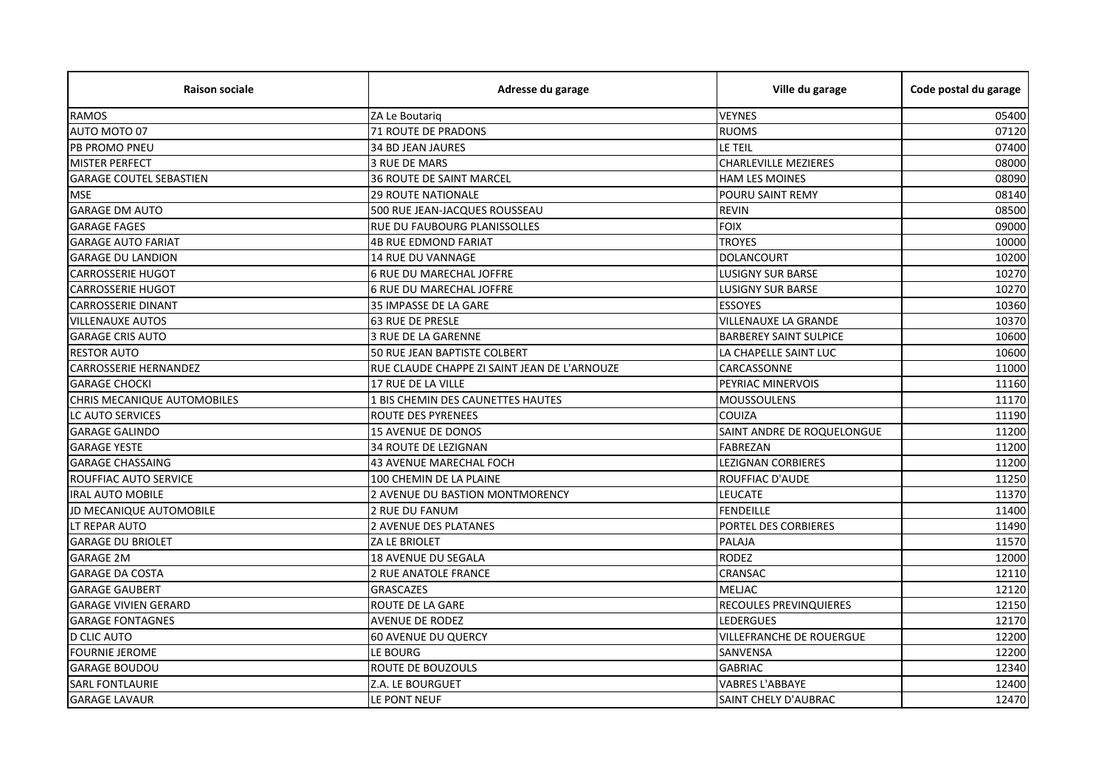| <b>Raison sociale</b>              | Adresse du garage                            | Ville du garage                 | Code postal du garage |
|------------------------------------|----------------------------------------------|---------------------------------|-----------------------|
| <b>RAMOS</b>                       | ZA Le Boutariq                               | <b>VEYNES</b>                   | 05400                 |
| AUTO MOTO 07                       | <b>71 ROUTE DE PRADONS</b>                   | <b>RUOMS</b>                    | 07120                 |
| <b>PB PROMO PNEU</b>               | <b>34 BD JEAN JAURES</b>                     | LE TEIL                         | 07400                 |
| <b>MISTER PERFECT</b>              | 3 RUE DE MARS                                | <b>CHARLEVILLE MEZIERES</b>     | 08000                 |
| <b>GARAGE COUTEL SEBASTIEN</b>     | <b>36 ROUTE DE SAINT MARCEL</b>              | <b>HAM LES MOINES</b>           | 08090                 |
| <b>MSE</b>                         | <b>29 ROUTE NATIONALE</b>                    | POURU SAINT REMY                | 08140                 |
| <b>GARAGE DM AUTO</b>              | 500 RUE JEAN-JACQUES ROUSSEAU                | <b>REVIN</b>                    | 08500                 |
| <b>GARAGE FAGES</b>                | RUE DU FAUBOURG PLANISSOLLES                 | <b>FOIX</b>                     | 09000                 |
| <b>GARAGE AUTO FARIAT</b>          | <b>4B RUE EDMOND FARIAT</b>                  | <b>TROYES</b>                   | 10000                 |
| <b>GARAGE DU LANDION</b>           | <b>14 RUE DU VANNAGE</b>                     | <b>DOLANCOURT</b>               | 10200                 |
| <b>CARROSSERIE HUGOT</b>           | <b>6 RUE DU MARECHAL JOFFRE</b>              | <b>LUSIGNY SUR BARSE</b>        | 10270                 |
| <b>CARROSSERIE HUGOT</b>           | <b>6 RUE DU MARECHAL JOFFRE</b>              | <b>LUSIGNY SUR BARSE</b>        | 10270                 |
| <b>CARROSSERIE DINANT</b>          | 35 IMPASSE DE LA GARE                        | <b>ESSOYES</b>                  | 10360                 |
| <b>VILLENAUXE AUTOS</b>            | <b>63 RUE DE PRESLE</b>                      | <b>VILLENAUXE LA GRANDE</b>     | 10370                 |
| <b>GARAGE CRIS AUTO</b>            | <b>3 RUE DE LA GARENNE</b>                   | <b>BARBEREY SAINT SULPICE</b>   | 10600                 |
| <b>RESTOR AUTO</b>                 | 50 RUE JEAN BAPTISTE COLBERT                 | LA CHAPELLE SAINT LUC           | 10600                 |
| <b>CARROSSERIE HERNANDEZ</b>       | RUE CLAUDE CHAPPE ZI SAINT JEAN DE L'ARNOUZE | CARCASSONNE                     | 11000                 |
| <b>GARAGE CHOCKI</b>               | 17 RUE DE LA VILLE                           | PEYRIAC MINERVOIS               | 11160                 |
| <b>CHRIS MECANIQUE AUTOMOBILES</b> | 1 BIS CHEMIN DES CAUNETTES HAUTES            | <b>MOUSSOULENS</b>              | 11170                 |
| LC AUTO SERVICES                   | ROUTE DES PYRENEES                           | COUIZA                          | 11190                 |
| <b>GARAGE GALINDO</b>              | <b>15 AVENUE DE DONOS</b>                    | SAINT ANDRE DE ROQUELONGUE      | 11200                 |
| <b>GARAGE YESTE</b>                | 34 ROUTE DE LEZIGNAN                         | <b>FABREZAN</b>                 | 11200                 |
| <b>GARAGE CHASSAING</b>            | 43 AVENUE MARECHAL FOCH                      | LEZIGNAN CORBIERES              | 11200                 |
| ROUFFIAC AUTO SERVICE              | 100 CHEMIN DE LA PLAINE                      | ROUFFIAC D'AUDE                 | 11250                 |
| <b>IRAL AUTO MOBILE</b>            | 2 AVENUE DU BASTION MONTMORENCY              | <b>LEUCATE</b>                  | 11370                 |
| JD MECANIQUE AUTOMOBILE            | <b>2 RUE DU FANUM</b>                        | <b>FENDEILLE</b>                | 11400                 |
| LT REPAR AUTO                      | 2 AVENUE DES PLATANES                        | PORTEL DES CORBIERES            | 11490                 |
| <b>GARAGE DU BRIOLET</b>           | ZA LE BRIOLET                                | PALAJA                          | 11570                 |
| <b>GARAGE 2M</b>                   | <b>18 AVENUE DU SEGALA</b>                   | <b>RODEZ</b>                    | 12000                 |
| <b>GARAGE DA COSTA</b>             | <b>2 RUE ANATOLE FRANCE</b>                  | CRANSAC                         | 12110                 |
| <b>GARAGE GAUBERT</b>              | <b>GRASCAZES</b>                             | <b>MELJAC</b>                   | 12120                 |
| <b>GARAGE VIVIEN GERARD</b>        | <b>ROUTE DE LA GARE</b>                      | RECOULES PREVINQUIERES          | 12150                 |
| <b>GARAGE FONTAGNES</b>            | <b>AVENUE DE RODEZ</b>                       | LEDERGUES                       | 12170                 |
| <b>D CLIC AUTO</b>                 | <b>60 AVENUE DU QUERCY</b>                   | <b>VILLEFRANCHE DE ROUERGUE</b> | 12200                 |
| <b>FOURNIE JEROME</b>              | LE BOURG                                     | <b>SANVENSA</b>                 | 12200                 |
| <b>GARAGE BOUDOU</b>               | ROUTE DE BOUZOULS                            | <b>GABRIAC</b>                  | 12340                 |
| SARL FONTLAURIE                    | Z.A. LE BOURGUET                             | <b>VABRES L'ABBAYE</b>          | 12400                 |
| <b>GARAGE LAVAUR</b>               | LE PONT NEUF                                 | SAINT CHELY D'AUBRAC            | 12470                 |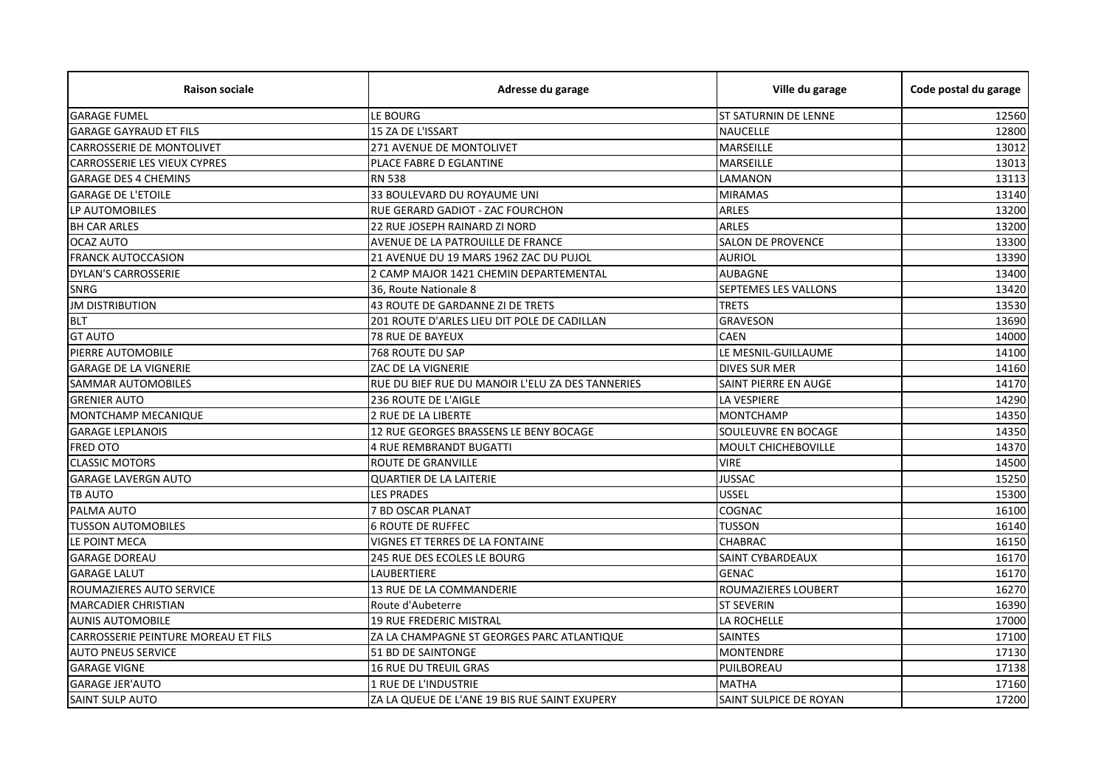| <b>Raison sociale</b>               | Adresse du garage                                | Ville du garage             | Code postal du garage |
|-------------------------------------|--------------------------------------------------|-----------------------------|-----------------------|
| <b>GARAGE FUMEL</b>                 | LE BOURG                                         | <b>ST SATURNIN DE LENNE</b> | 12560                 |
| <b>GARAGE GAYRAUD ET FILS</b>       | 15 ZA DE L'ISSART                                | <b>NAUCELLE</b>             | 12800                 |
| <b>CARROSSERIE DE MONTOLIVET</b>    | 271 AVENUE DE MONTOLIVET                         | <b>MARSEILLE</b>            | 13012                 |
| <b>CARROSSERIE LES VIEUX CYPRES</b> | PLACE FABRE D EGLANTINE                          | MARSEILLE                   | 13013                 |
| <b>GARAGE DES 4 CHEMINS</b>         | <b>RN 538</b>                                    | LAMANON                     | 13113                 |
| <b>GARAGE DE L'ETOILE</b>           | 33 BOULEVARD DU ROYAUME UNI                      | <b>MIRAMAS</b>              | 13140                 |
| LP AUTOMOBILES                      | RUE GERARD GADIOT - ZAC FOURCHON                 | <b>ARLES</b>                | 13200                 |
| <b>BH CAR ARLES</b>                 | 22 RUE JOSEPH RAINARD ZI NORD                    | <b>ARLES</b>                | 13200                 |
| <b>OCAZ AUTO</b>                    | AVENUE DE LA PATROUILLE DE FRANCE                | <b>SALON DE PROVENCE</b>    | 13300                 |
| <b>FRANCK AUTOCCASION</b>           | 21 AVENUE DU 19 MARS 1962 ZAC DU PUJOL           | <b>AURIOL</b>               | 13390                 |
| DYLAN'S CARROSSERIE                 | 2 CAMP MAJOR 1421 CHEMIN DEPARTEMENTAL           | <b>AUBAGNE</b>              | 13400                 |
| <b>SNRG</b>                         | 36, Route Nationale 8                            | SEPTEMES LES VALLONS        | 13420                 |
| <b>JM DISTRIBUTION</b>              | 43 ROUTE DE GARDANNE ZI DE TRETS                 | <b>TRETS</b>                | 13530                 |
| <b>BLT</b>                          | 201 ROUTE D'ARLES LIEU DIT POLE DE CADILLAN      | <b>GRAVESON</b>             | 13690                 |
| <b>GT AUTO</b>                      | <b>78 RUE DE BAYEUX</b>                          | <b>CAEN</b>                 | 14000                 |
| PIERRE AUTOMOBILE                   | 768 ROUTE DU SAP                                 | LE MESNIL-GUILLAUME         | 14100                 |
| <b>GARAGE DE LA VIGNERIE</b>        | ZAC DE LA VIGNERIE                               | <b>DIVES SUR MER</b>        | 14160                 |
| <b>SAMMAR AUTOMOBILES</b>           | RUE DU BIEF RUE DU MANOIR L'ELU ZA DES TANNERIES | SAINT PIERRE EN AUGE        | 14170                 |
| <b>GRENIER AUTO</b>                 | 236 ROUTE DE L'AIGLE                             | <b>LA VESPIERE</b>          | 14290                 |
| MONTCHAMP MECANIQUE                 | 2 RUE DE LA LIBERTE                              | <b>MONTCHAMP</b>            | 14350                 |
| <b>GARAGE LEPLANOIS</b>             | 12 RUE GEORGES BRASSENS LE BENY BOCAGE           | SOULEUVRE EN BOCAGE         | 14350                 |
| <b>FRED OTO</b>                     | <b>4 RUE REMBRANDT BUGATTI</b>                   | <b>MOULT CHICHEBOVILLE</b>  | 14370                 |
| <b>CLASSIC MOTORS</b>               | ROUTE DE GRANVILLE                               | <b>VIRE</b>                 | 14500                 |
| <b>GARAGE LAVERGN AUTO</b>          | <b>QUARTIER DE LA LAITERIE</b>                   | <b>JUSSAC</b>               | 15250                 |
| <b>TB AUTO</b>                      | <b>LES PRADES</b>                                | <b>USSEL</b>                | 15300                 |
| PALMA AUTO                          | 7 BD OSCAR PLANAT                                | COGNAC                      | 16100                 |
| <b>TUSSON AUTOMOBILES</b>           | <b>6 ROUTE DE RUFFEC</b>                         | <b>TUSSON</b>               | 16140                 |
| LE POINT MECA                       | VIGNES ET TERRES DE LA FONTAINE                  | <b>CHABRAC</b>              | 16150                 |
| <b>GARAGE DOREAU</b>                | 245 RUE DES ECOLES LE BOURG                      | SAINT CYBARDEAUX            | 16170                 |
| <b>GARAGE LALUT</b>                 | LAUBERTIERE                                      | <b>GENAC</b>                | 16170                 |
| ROUMAZIERES AUTO SERVICE            | 13 RUE DE LA COMMANDERIE                         | ROUMAZIERES LOUBERT         | 16270                 |
| <b>MARCADIER CHRISTIAN</b>          | Route d'Aubeterre                                | <b>ST SEVERIN</b>           | 16390                 |
| <b>AUNIS AUTOMOBILE</b>             | <b>19 RUE FREDERIC MISTRAL</b>                   | LA ROCHELLE                 | 17000                 |
| CARROSSERIE PEINTURE MOREAU ET FILS | ZA LA CHAMPAGNE ST GEORGES PARC ATLANTIQUE       | <b>SAINTES</b>              | 17100                 |
| <b>AUTO PNEUS SERVICE</b>           | 51 BD DE SAINTONGE                               | <b>MONTENDRE</b>            | 17130                 |
| <b>GARAGE VIGNE</b>                 | <b>16 RUE DU TREUIL GRAS</b>                     | PUILBOREAU                  | 17138                 |
| <b>GARAGE JER'AUTO</b>              | 1 RUE DE L'INDUSTRIE                             | <b>MATHA</b>                | 17160                 |
| <b>SAINT SULP AUTO</b>              | ZA LA QUEUE DE L'ANE 19 BIS RUE SAINT EXUPERY    | SAINT SULPICE DE ROYAN      | 17200                 |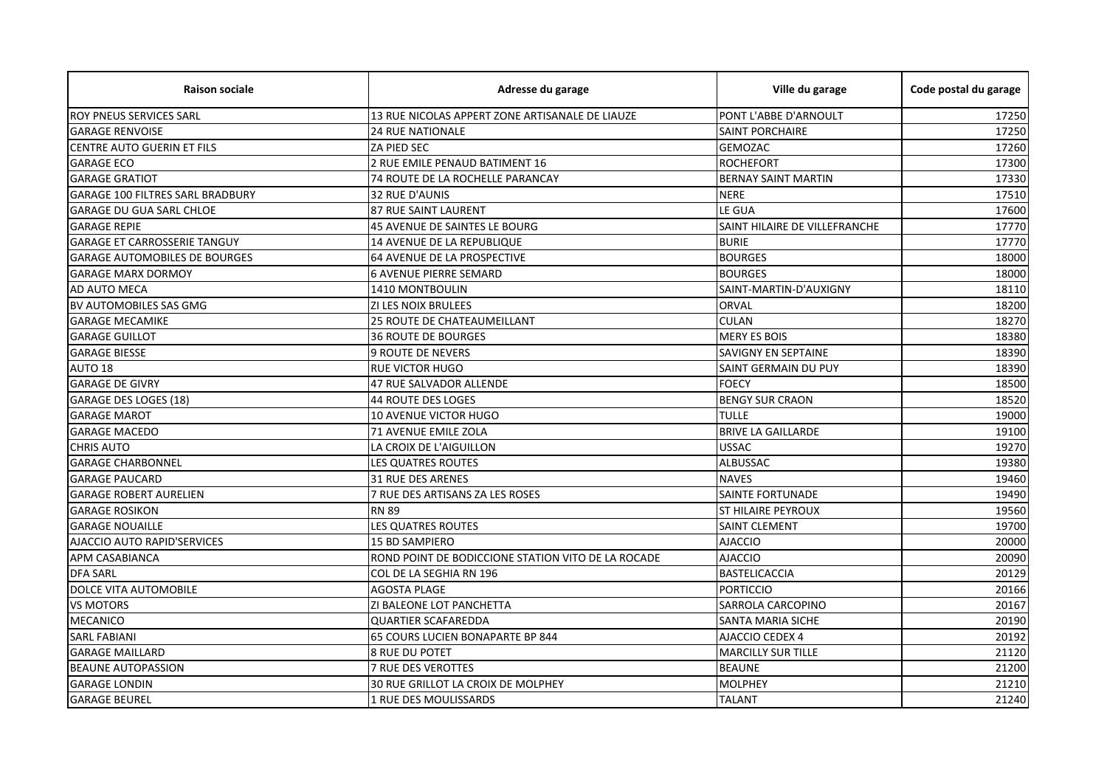| <b>Raison sociale</b>                   | Adresse du garage                                  | Ville du garage               | Code postal du garage |
|-----------------------------------------|----------------------------------------------------|-------------------------------|-----------------------|
| ROY PNEUS SERVICES SARL                 | 13 RUE NICOLAS APPERT ZONE ARTISANALE DE LIAUZE    | PONT L'ABBE D'ARNOULT         | 17250                 |
| <b>GARAGE RENVOISE</b>                  | <b>24 RUE NATIONALE</b>                            | <b>SAINT PORCHAIRE</b>        | 17250                 |
| CENTRE AUTO GUERIN ET FILS              | <b>ZA PIED SEC</b>                                 | <b>GEMOZAC</b>                | 17260                 |
| <b>GARAGE ECO</b>                       | 2 RUE EMILE PENAUD BATIMENT 16                     | <b>ROCHEFORT</b>              | 17300                 |
| <b>GARAGE GRATIOT</b>                   | 74 ROUTE DE LA ROCHELLE PARANCAY                   | <b>BERNAY SAINT MARTIN</b>    | 17330                 |
| <b>GARAGE 100 FILTRES SARL BRADBURY</b> | 32 RUE D'AUNIS                                     | <b>NERE</b>                   | 17510                 |
| <b>GARAGE DU GUA SARL CHLOE</b>         | <b>87 RUE SAINT LAURENT</b>                        | LE GUA                        | 17600                 |
| <b>GARAGE REPIE</b>                     | 45 AVENUE DE SAINTES LE BOURG                      | SAINT HILAIRE DE VILLEFRANCHE | 17770                 |
| <b>GARAGE ET CARROSSERIE TANGUY</b>     | 14 AVENUE DE LA REPUBLIQUE                         | <b>BURIE</b>                  | 17770                 |
| <b>GARAGE AUTOMOBILES DE BOURGES</b>    | 64 AVENUE DE LA PROSPECTIVE                        | <b>BOURGES</b>                | 18000                 |
| <b>GARAGE MARX DORMOY</b>               | <b>6 AVENUE PIERRE SEMARD</b>                      | <b>BOURGES</b>                | 18000                 |
| AD AUTO MECA                            | 1410 MONTBOULIN                                    | SAINT-MARTIN-D'AUXIGNY        | 18110                 |
| BV AUTOMOBILES SAS GMG                  | <b>ZI LES NOIX BRULEES</b>                         | <b>ORVAL</b>                  | 18200                 |
| <b>GARAGE MECAMIKE</b>                  | 25 ROUTE DE CHATEAUMEILLANT                        | <b>CULAN</b>                  | 18270                 |
| <b>GARAGE GUILLOT</b>                   | <b>36 ROUTE DE BOURGES</b>                         | <b>MERY ES BOIS</b>           | 18380                 |
| <b>GARAGE BIESSE</b>                    | <b>9 ROUTE DE NEVERS</b>                           | <b>SAVIGNY EN SEPTAINE</b>    | 18390                 |
| AUTO 18                                 | <b>RUE VICTOR HUGO</b>                             | SAINT GERMAIN DU PUY          | 18390                 |
| <b>GARAGE DE GIVRY</b>                  | 47 RUE SALVADOR ALLENDE                            | <b>FOECY</b>                  | 18500                 |
| <b>GARAGE DES LOGES (18)</b>            | <b>44 ROUTE DES LOGES</b>                          | <b>BENGY SUR CRAON</b>        | 18520                 |
| <b>GARAGE MAROT</b>                     | <b>10 AVENUE VICTOR HUGO</b>                       | <b>TULLE</b>                  | 19000                 |
| <b>GARAGE MACEDO</b>                    | 71 AVENUE EMILE ZOLA                               | <b>BRIVE LA GAILLARDE</b>     | 19100                 |
| <b>CHRIS AUTO</b>                       | LA CROIX DE L'AIGUILLON                            | <b>USSAC</b>                  | 19270                 |
| <b>GARAGE CHARBONNEL</b>                | LES QUATRES ROUTES                                 | ALBUSSAC                      | 19380                 |
| <b>GARAGE PAUCARD</b>                   | 31 RUE DES ARENES                                  | <b>NAVES</b>                  | 19460                 |
| <b>GARAGE ROBERT AURELIEN</b>           | 7 RUE DES ARTISANS ZA LES ROSES                    | <b>SAINTE FORTUNADE</b>       | 19490                 |
| <b>GARAGE ROSIKON</b>                   | <b>RN 89</b>                                       | <b>ST HILAIRE PEYROUX</b>     | 19560                 |
| <b>GARAGE NOUAILLE</b>                  | LES QUATRES ROUTES                                 | <b>SAINT CLEMENT</b>          | 19700                 |
| AJACCIO AUTO RAPID'SERVICES             | <b>15 BD SAMPIERO</b>                              | <b>AJACCIO</b>                | 20000                 |
| APM CASABIANCA                          | ROND POINT DE BODICCIONE STATION VITO DE LA ROCADE | <b>AJACCIO</b>                | 20090                 |
| <b>DFA SARL</b>                         | COL DE LA SEGHIA RN 196                            | <b>BASTELICACCIA</b>          | 20129                 |
| DOLCE VITA AUTOMOBILE                   | <b>AGOSTA PLAGE</b>                                | <b>PORTICCIO</b>              | 20166                 |
| <b>VS MOTORS</b>                        | ZI BALEONE LOT PANCHETTA                           | SARROLA CARCOPINO             | 20167                 |
| MECANICO                                | <b>QUARTIER SCAFAREDDA</b>                         | <b>SANTA MARIA SICHE</b>      | 20190                 |
| <b>SARL FABIANI</b>                     | 65 COURS LUCIEN BONAPARTE BP 844                   | AJACCIO CEDEX 4               | 20192                 |
| <b>GARAGE MAILLARD</b>                  | <b>8 RUE DU POTET</b>                              | <b>MARCILLY SUR TILLE</b>     | 21120                 |
| <b>BEAUNE AUTOPASSION</b>               | <b>7 RUE DES VEROTTES</b>                          | <b>BEAUNE</b>                 | 21200                 |
| <b>GARAGE LONDIN</b>                    | 30 RUE GRILLOT LA CROIX DE MOLPHEY                 | <b>MOLPHEY</b>                | 21210                 |
| <b>GARAGE BEUREL</b>                    | 1 RUE DES MOULISSARDS                              | <b>TALANT</b>                 | 21240                 |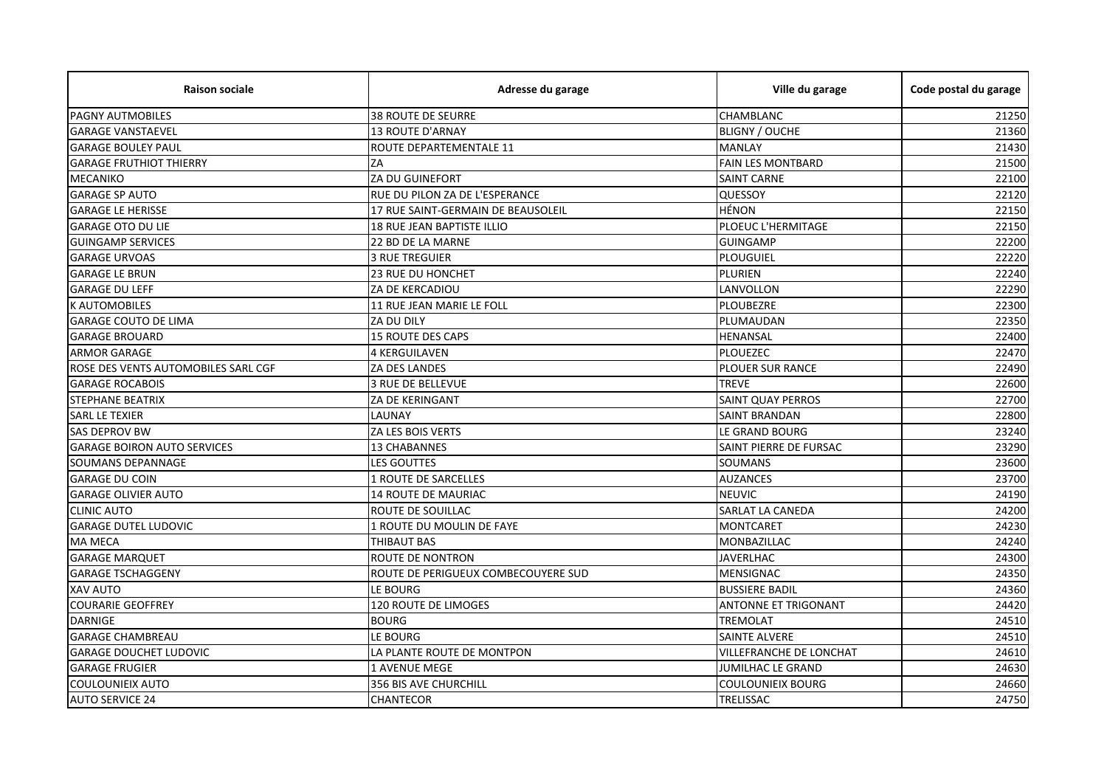| <b>Raison sociale</b>               | Adresse du garage                   | Ville du garage             | Code postal du garage |
|-------------------------------------|-------------------------------------|-----------------------------|-----------------------|
| PAGNY AUTMOBILES                    | <b>38 ROUTE DE SEURRE</b>           | <b>CHAMBLANC</b>            | 21250                 |
| <b>GARAGE VANSTAEVEL</b>            | 13 ROUTE D'ARNAY                    | <b>BLIGNY / OUCHE</b>       | 21360                 |
| <b>GARAGE BOULEY PAUL</b>           | ROUTE DEPARTEMENTALE 11             | <b>MANLAY</b>               | 21430                 |
| <b>GARAGE FRUTHIOT THIERRY</b>      | ZA                                  | <b>FAIN LES MONTBARD</b>    | 21500                 |
| MECANIKO                            | ZA DU GUINEFORT                     | <b>SAINT CARNE</b>          | 22100                 |
| <b>GARAGE SP AUTO</b>               | RUE DU PILON ZA DE L'ESPERANCE      | QUESSOY                     | 22120                 |
| <b>GARAGE LE HERISSE</b>            | 17 RUE SAINT-GERMAIN DE BEAUSOLEIL  | <b>HÉNON</b>                | 22150                 |
| <b>GARAGE OTO DU LIE</b>            | 18 RUE JEAN BAPTISTE ILLIO          | PLOEUC L'HERMITAGE          | 22150                 |
| <b>GUINGAMP SERVICES</b>            | 22 BD DE LA MARNE                   | <b>GUINGAMP</b>             | 22200                 |
| <b>GARAGE URVOAS</b>                | <b>3 RUE TREGUIER</b>               | <b>PLOUGUIEL</b>            | 22220                 |
| <b>GARAGE LE BRUN</b>               | <b>23 RUE DU HONCHET</b>            | <b>PLURIEN</b>              | 22240                 |
| <b>GARAGE DU LEFF</b>               | ZA DE KERCADIOU                     | LANVOLLON                   | 22290                 |
| <b>K AUTOMOBILES</b>                | 11 RUE JEAN MARIE LE FOLL           | PLOUBEZRE                   | 22300                 |
| <b>GARAGE COUTO DE LIMA</b>         | ZA DU DILY                          | PLUMAUDAN                   | 22350                 |
| <b>GARAGE BROUARD</b>               | 15 ROUTE DES CAPS                   | <b>HENANSAL</b>             | 22400                 |
| <b>ARMOR GARAGE</b>                 | <b>4 KERGUILAVEN</b>                | PLOUEZEC                    | 22470                 |
| ROSE DES VENTS AUTOMOBILES SARL CGF | <b>ZA DES LANDES</b>                | PLOUER SUR RANCE            | 22490                 |
| <b>GARAGE ROCABOIS</b>              | <b>3 RUE DE BELLEVUE</b>            | <b>TREVE</b>                | 22600                 |
| <b>STEPHANE BEATRIX</b>             | ZA DE KERINGANT                     | <b>SAINT QUAY PERROS</b>    | 22700                 |
| <b>SARL LE TEXIER</b>               | LAUNAY                              | <b>SAINT BRANDAN</b>        | 22800                 |
| <b>SAS DEPROV BW</b>                | ZA LES BOIS VERTS                   | LE GRAND BOURG              | 23240                 |
| <b>GARAGE BOIRON AUTO SERVICES</b>  | 13 CHABANNES                        | SAINT PIERRE DE FURSAC      | 23290                 |
| SOUMANS DEPANNAGE                   | <b>LES GOUTTES</b>                  | <b>SOUMANS</b>              | 23600                 |
| <b>GARAGE DU COIN</b>               | 1 ROUTE DE SARCELLES                | <b>AUZANCES</b>             | 23700                 |
| <b>GARAGE OLIVIER AUTO</b>          | <b>14 ROUTE DE MAURIAC</b>          | <b>NEUVIC</b>               | 24190                 |
| <b>CLINIC AUTO</b>                  | ROUTE DE SOUILLAC                   | <b>SARLAT LA CANEDA</b>     | 24200                 |
| <b>GARAGE DUTEL LUDOVIC</b>         | 1 ROUTE DU MOULIN DE FAYE           | <b>MONTCARET</b>            | 24230                 |
| <b>MA MECA</b>                      | <b>THIBAUT BAS</b>                  | MONBAZILLAC                 | 24240                 |
| <b>GARAGE MARQUET</b>               | ROUTE DE NONTRON                    | <b>JAVERLHAC</b>            | 24300                 |
| <b>GARAGE TSCHAGGENY</b>            | ROUTE DE PERIGUEUX COMBECOUYERE SUD | <b>MENSIGNAC</b>            | 24350                 |
| <b>XAV AUTO</b>                     | LE BOURG                            | <b>BUSSIERE BADIL</b>       | 24360                 |
| <b>COURARIE GEOFFREY</b>            | 120 ROUTE DE LIMOGES                | <b>ANTONNE ET TRIGONANT</b> | 24420                 |
| <b>DARNIGE</b>                      | <b>BOURG</b>                        | <b>TREMOLAT</b>             | 24510                 |
| <b>GARAGE CHAMBREAU</b>             | LE BOURG                            | <b>SAINTE ALVERE</b>        | 24510                 |
| <b>GARAGE DOUCHET LUDOVIC</b>       | LA PLANTE ROUTE DE MONTPON          | VILLEFRANCHE DE LONCHAT     | 24610                 |
| <b>GARAGE FRUGIER</b>               | 1 AVENUE MEGE                       | JUMILHAC LE GRAND           | 24630                 |
| <b>COULOUNIEIX AUTO</b>             | 356 BIS AVE CHURCHILL               | <b>COULOUNIEIX BOURG</b>    | 24660                 |
| <b>AUTO SERVICE 24</b>              | <b>CHANTECOR</b>                    | TRELISSAC                   | 24750                 |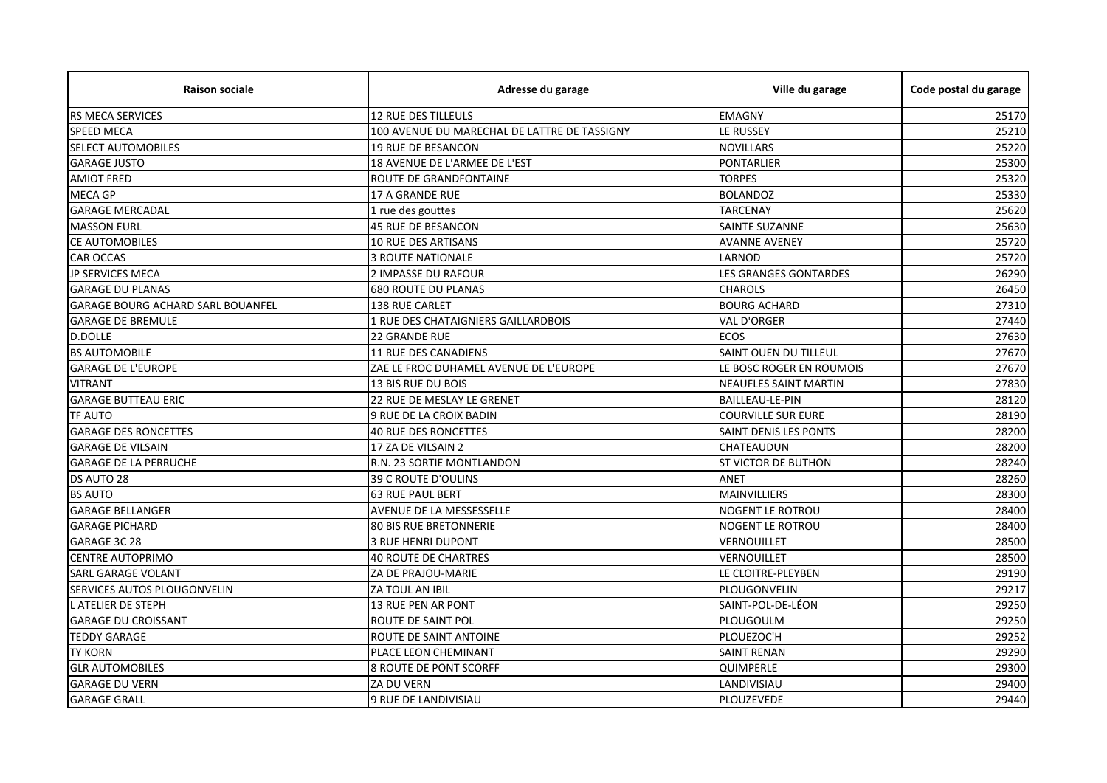| <b>Raison sociale</b>                    | Adresse du garage                            | Ville du garage              | Code postal du garage |
|------------------------------------------|----------------------------------------------|------------------------------|-----------------------|
| RS MECA SERVICES                         | <b>12 RUE DES TILLEULS</b>                   | <b>EMAGNY</b>                | 25170                 |
| <b>SPEED MECA</b>                        | 100 AVENUE DU MARECHAL DE LATTRE DE TASSIGNY | LE RUSSEY                    | 25210                 |
| <b>SELECT AUTOMOBILES</b>                | <b>19 RUE DE BESANCON</b>                    | <b>NOVILLARS</b>             | 25220                 |
| <b>GARAGE JUSTO</b>                      | 18 AVENUE DE L'ARMEE DE L'EST                | <b>PONTARLIER</b>            | 25300                 |
| <b>AMIOT FRED</b>                        | ROUTE DE GRANDFONTAINE                       | <b>TORPES</b>                | 25320                 |
| <b>MECA GP</b>                           | 17 A GRANDE RUE                              | <b>BOLANDOZ</b>              | 25330                 |
| <b>GARAGE MERCADAL</b>                   | 1 rue des gouttes                            | <b>TARCENAY</b>              | 25620                 |
| <b>MASSON EURL</b>                       | 45 RUE DE BESANCON                           | SAINTE SUZANNE               | 25630                 |
| <b>CE AUTOMOBILES</b>                    | <b>10 RUE DES ARTISANS</b>                   | <b>AVANNE AVENEY</b>         | 25720                 |
| <b>CAR OCCAS</b>                         | <b>3 ROUTE NATIONALE</b>                     | LARNOD                       | 25720                 |
| <b>JP SERVICES MECA</b>                  | <b>2 IMPASSE DU RAFOUR</b>                   | <b>LES GRANGES GONTARDES</b> | 26290                 |
| <b>GARAGE DU PLANAS</b>                  | <b>680 ROUTE DU PLANAS</b>                   | <b>CHAROLS</b>               | 26450                 |
| <b>GARAGE BOURG ACHARD SARL BOUANFEL</b> | 138 RUE CARLET                               | <b>BOURG ACHARD</b>          | 27310                 |
| <b>GARAGE DE BREMULE</b>                 | <b>1 RUE DES CHATAIGNIERS GAILLARDBOIS</b>   | <b>VAL D'ORGER</b>           | 27440                 |
| <b>D.DOLLE</b>                           | <b>22 GRANDE RUE</b>                         | <b>ECOS</b>                  | 27630                 |
| <b>BS AUTOMOBILE</b>                     | <b>11 RUE DES CANADIENS</b>                  | SAINT OUEN DU TILLEUL        | 27670                 |
| <b>GARAGE DE L'EUROPE</b>                | ZAE LE FROC DUHAMEL AVENUE DE L'EUROPE       | LE BOSC ROGER EN ROUMOIS     | 27670                 |
| <b>VITRANT</b>                           | <b>13 BIS RUE DU BOIS</b>                    | <b>NEAUFLES SAINT MARTIN</b> | 27830                 |
| <b>GARAGE BUTTEAU ERIC</b>               | 22 RUE DE MESLAY LE GRENET                   | <b>BAILLEAU-LE-PIN</b>       | 28120                 |
| <b>TF AUTO</b>                           | 9 RUE DE LA CROIX BADIN                      | <b>COURVILLE SUR EURE</b>    | 28190                 |
| <b>GARAGE DES RONCETTES</b>              | <b>40 RUE DES RONCETTES</b>                  | <b>SAINT DENIS LES PONTS</b> | 28200                 |
| <b>GARAGE DE VILSAIN</b>                 | 17 ZA DE VILSAIN 2                           | CHATEAUDUN                   | 28200                 |
| <b>GARAGE DE LA PERRUCHE</b>             | R.N. 23 SORTIE MONTLANDON                    | ST VICTOR DE BUTHON          | 28240                 |
| DS AUTO 28                               | <b>39 C ROUTE D'OULINS</b>                   | ANET                         | 28260                 |
| <b>BS AUTO</b>                           | 63 RUE PAUL BERT                             | MAINVILLIERS                 | 28300                 |
| <b>GARAGE BELLANGER</b>                  | AVENUE DE LA MESSESSELLE                     | <b>NOGENT LE ROTROU</b>      | 28400                 |
| <b>GARAGE PICHARD</b>                    | <b>80 BIS RUE BRETONNERIE</b>                | NOGENT LE ROTROU             | 28400                 |
| GARAGE 3C 28                             | <b>3 RUE HENRI DUPONT</b>                    | VERNOUILLET                  | 28500                 |
| <b>CENTRE AUTOPRIMO</b>                  | <b>40 ROUTE DE CHARTRES</b>                  | VERNOUILLET                  | 28500                 |
| SARL GARAGE VOLANT                       | ZA DE PRAJOU-MARIE                           | LE CLOITRE-PLEYBEN           | 29190                 |
| SERVICES AUTOS PLOUGONVELIN              | ZA TOUL AN IBIL                              | PLOUGONVELIN                 | 29217                 |
| L ATELIER DE STEPH                       | 13 RUE PEN AR PONT                           | SAINT-POL-DE-LÉON            | 29250                 |
| <b>GARAGE DU CROISSANT</b>               | <b>ROUTE DE SAINT POL</b>                    | PLOUGOULM                    | 29250                 |
| <b>TEDDY GARAGE</b>                      | ROUTE DE SAINT ANTOINE                       | PLOUEZOC'H                   | 29252                 |
| <b>TY KORN</b>                           | PLACE LEON CHEMINANT                         | <b>SAINT RENAN</b>           | 29290                 |
| <b>GLR AUTOMOBILES</b>                   | 8 ROUTE DE PONT SCORFF                       | QUIMPERLE                    | 29300                 |
| <b>GARAGE DU VERN</b>                    | ZA DU VERN                                   | LANDIVISIAU                  | 29400                 |
| <b>GARAGE GRALL</b>                      | <b>9 RUE DE LANDIVISIAU</b>                  | PLOUZEVEDE                   | 29440                 |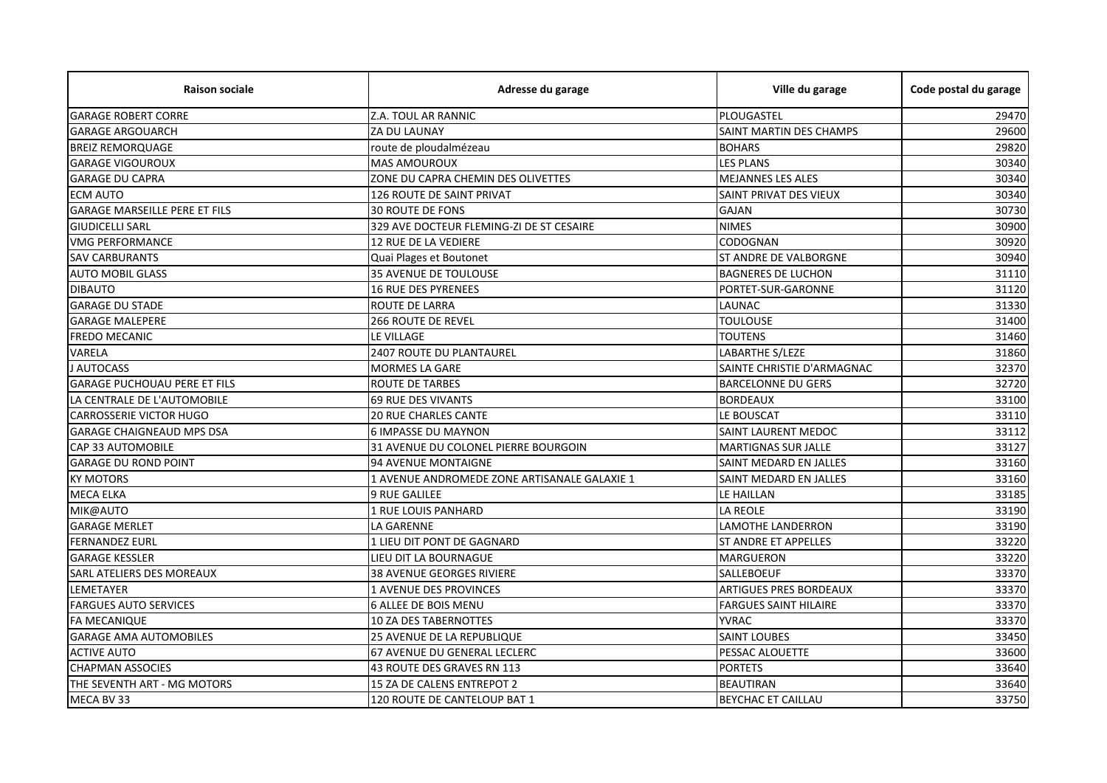| <b>Raison sociale</b>                | Adresse du garage                            | Ville du garage               | Code postal du garage |
|--------------------------------------|----------------------------------------------|-------------------------------|-----------------------|
| <b>GARAGE ROBERT CORRE</b>           | Z.A. TOUL AR RANNIC                          | PLOUGASTEL                    | 29470                 |
| <b>GARAGE ARGOUARCH</b>              | ZA DU LAUNAY                                 | SAINT MARTIN DES CHAMPS       | 29600                 |
| <b>BREIZ REMORQUAGE</b>              | route de ploudalmézeau                       | <b>BOHARS</b>                 | 29820                 |
| <b>GARAGE VIGOUROUX</b>              | <b>MAS AMOUROUX</b>                          | <b>LES PLANS</b>              | 30340                 |
| <b>GARAGE DU CAPRA</b>               | ZONE DU CAPRA CHEMIN DES OLIVETTES           | <b>MEJANNES LES ALES</b>      | 30340                 |
| <b>ECM AUTO</b>                      | 126 ROUTE DE SAINT PRIVAT                    | SAINT PRIVAT DES VIEUX        | 30340                 |
| <b>GARAGE MARSEILLE PERE ET FILS</b> | <b>30 ROUTE DE FONS</b>                      | <b>GAJAN</b>                  | 30730                 |
| <b>GIUDICELLI SARL</b>               | 329 AVE DOCTEUR FLEMING-ZI DE ST CESAIRE     | <b>NIMES</b>                  | 30900                 |
| <b>VMG PERFORMANCE</b>               | 12 RUE DE LA VEDIERE                         | CODOGNAN                      | 30920                 |
| <b>SAV CARBURANTS</b>                | Quai Plages et Boutonet                      | <b>ST ANDRE DE VALBORGNE</b>  | 30940                 |
| <b>AUTO MOBIL GLASS</b>              | <b>35 AVENUE DE TOULOUSE</b>                 | <b>BAGNERES DE LUCHON</b>     | 31110                 |
| <b>DIBAUTO</b>                       | <b>16 RUE DES PYRENEES</b>                   | PORTET-SUR-GARONNE            | 31120                 |
| <b>GARAGE DU STADE</b>               | ROUTE DE LARRA                               | <b>LAUNAC</b>                 | 31330                 |
| <b>GARAGE MALEPERE</b>               | <b>266 ROUTE DE REVEL</b>                    | <b>TOULOUSE</b>               | 31400                 |
| <b>FREDO MECANIC</b>                 | LE VILLAGE                                   | <b>TOUTENS</b>                | 31460                 |
| VARELA                               | 2407 ROUTE DU PLANTAUREL                     | LABARTHE S/LEZE               | 31860                 |
| J AUTOCASS                           | <b>MORMES LA GARE</b>                        | SAINTE CHRISTIE D'ARMAGNAC    | 32370                 |
| <b>GARAGE PUCHOUAU PERE ET FILS</b>  | <b>ROUTE DE TARBES</b>                       | <b>BARCELONNE DU GERS</b>     | 32720                 |
| LA CENTRALE DE L'AUTOMOBILE          | <b>69 RUE DES VIVANTS</b>                    | <b>BORDEAUX</b>               | 33100                 |
| <b>CARROSSERIE VICTOR HUGO</b>       | <b>20 RUE CHARLES CANTE</b>                  | LE BOUSCAT                    | 33110                 |
| <b>GARAGE CHAIGNEAUD MPS DSA</b>     | <b>6 IMPASSE DU MAYNON</b>                   | <b>SAINT LAURENT MEDOC</b>    | 33112                 |
| <b>CAP 33 AUTOMOBILE</b>             | 31 AVENUE DU COLONEL PIERRE BOURGOIN         | <b>MARTIGNAS SUR JALLE</b>    | 33127                 |
| <b>GARAGE DU ROND POINT</b>          | 94 AVENUE MONTAIGNE                          | SAINT MEDARD EN JALLES        | 33160                 |
| <b>KY MOTORS</b>                     | 1 AVENUE ANDROMEDE ZONE ARTISANALE GALAXIE 1 | SAINT MEDARD EN JALLES        | 33160                 |
| <b>MECA ELKA</b>                     | <b>9 RUE GALILEE</b>                         | LE HAILLAN                    | 33185                 |
| MIK@AUTO                             | 1 RUE LOUIS PANHARD                          | <b>LA REOLE</b>               | 33190                 |
| <b>GARAGE MERLET</b>                 | LA GARENNE                                   | LAMOTHE LANDERRON             | 33190                 |
| <b>FERNANDEZ EURL</b>                | 1 LIEU DIT PONT DE GAGNARD                   | <b>ST ANDRE ET APPELLES</b>   | 33220                 |
| <b>GARAGE KESSLER</b>                | LIEU DIT LA BOURNAGUE                        | <b>MARGUERON</b>              | 33220                 |
| SARL ATELIERS DES MOREAUX            | 38 AVENUE GEORGES RIVIERE                    | SALLEBOEUF                    | 33370                 |
| LEMETAYER                            | 1 AVENUE DES PROVINCES                       | <b>ARTIGUES PRES BORDEAUX</b> | 33370                 |
| <b>FARGUES AUTO SERVICES</b>         | <b>6 ALLEE DE BOIS MENU</b>                  | <b>FARGUES SAINT HILAIRE</b>  | 33370                 |
| <b>FA MECANIQUE</b>                  | <b>10 ZA DES TABERNOTTES</b>                 | <b>YVRAC</b>                  | 33370                 |
| <b>GARAGE AMA AUTOMOBILES</b>        | 25 AVENUE DE LA REPUBLIQUE                   | <b>SAINT LOUBES</b>           | 33450                 |
| <b>ACTIVE AUTO</b>                   | 67 AVENUE DU GENERAL LECLERC                 | PESSAC ALOUETTE               | 33600                 |
| <b>CHAPMAN ASSOCIES</b>              | 43 ROUTE DES GRAVES RN 113                   | <b>PORTETS</b>                | 33640                 |
| THE SEVENTH ART - MG MOTORS          | 15 ZA DE CALENS ENTREPOT 2                   | <b>BEAUTIRAN</b>              | 33640                 |
| MECA BV 33                           | 120 ROUTE DE CANTELOUP BAT 1                 | <b>BEYCHAC ET CAILLAU</b>     | 33750                 |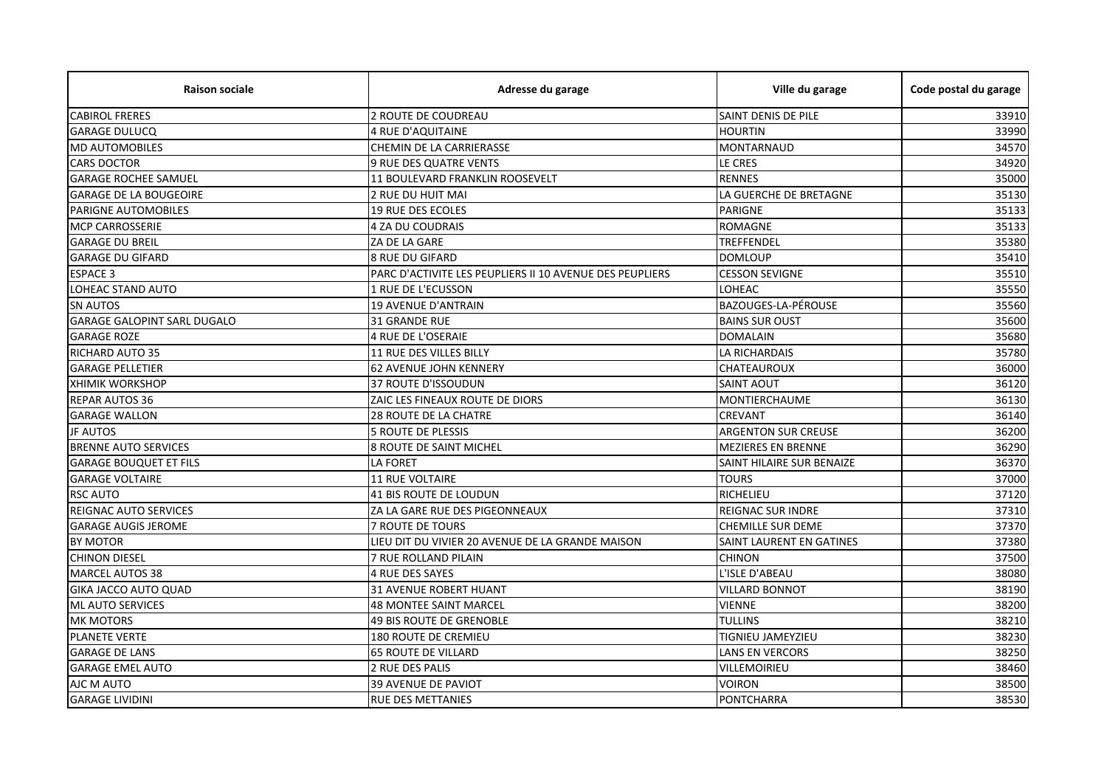| <b>Raison sociale</b>              | Adresse du garage                                        | Ville du garage            | Code postal du garage |
|------------------------------------|----------------------------------------------------------|----------------------------|-----------------------|
| <b>CABIROL FRERES</b>              | 2 ROUTE DE COUDREAU                                      | <b>SAINT DENIS DE PILE</b> | 33910                 |
| <b>GARAGE DULUCQ</b>               | 4 RUE D'AQUITAINE                                        | <b>HOURTIN</b>             | 33990                 |
| <b>MD AUTOMOBILES</b>              | CHEMIN DE LA CARRIERASSE                                 | <b>MONTARNAUD</b>          | 34570                 |
| <b>CARS DOCTOR</b>                 | 9 RUE DES QUATRE VENTS                                   | LE CRES                    | 34920                 |
| <b>GARAGE ROCHEE SAMUEL</b>        | 11 BOULEVARD FRANKLIN ROOSEVELT                          | <b>RENNES</b>              | 35000                 |
| <b>GARAGE DE LA BOUGEOIRE</b>      | 2 RUE DU HUIT MAI                                        | LA GUERCHE DE BRETAGNE     | 35130                 |
| PARIGNE AUTOMOBILES                | <b>19 RUE DES ECOLES</b>                                 | <b>PARIGNE</b>             | 35133                 |
| <b>MCP CARROSSERIE</b>             | 4 ZA DU COUDRAIS                                         | <b>ROMAGNE</b>             | 35133                 |
| <b>GARAGE DU BREIL</b>             | ZA DE LA GARE                                            | TREFFENDEL                 | 35380                 |
| <b>GARAGE DU GIFARD</b>            | 8 RUE DU GIFARD                                          | <b>DOMLOUP</b>             | 35410                 |
| <b>ESPACE 3</b>                    | PARC D'ACTIVITE LES PEUPLIERS II 10 AVENUE DES PEUPLIERS | <b>CESSON SEVIGNE</b>      | 35510                 |
| LOHEAC STAND AUTO                  | 1 RUE DE L'ECUSSON                                       | <b>LOHEAC</b>              | 35550                 |
| <b>SN AUTOS</b>                    | <b>19 AVENUE D'ANTRAIN</b>                               | BAZOUGES-LA-PÉROUSE        | 35560                 |
| <b>GARAGE GALOPINT SARL DUGALO</b> | <b>31 GRANDE RUE</b>                                     | <b>BAINS SUR OUST</b>      | 35600                 |
| <b>GARAGE ROZE</b>                 | <b>4 RUE DE L'OSERAIE</b>                                | <b>DOMALAIN</b>            | 35680                 |
| <b>RICHARD AUTO 35</b>             | 11 RUE DES VILLES BILLY                                  | LA RICHARDAIS              | 35780                 |
| <b>GARAGE PELLETIER</b>            | <b>62 AVENUE JOHN KENNERY</b>                            | <b>CHATEAUROUX</b>         | 36000                 |
| <b>XHIMIK WORKSHOP</b>             | 37 ROUTE D'ISSOUDUN                                      | <b>SAINT AOUT</b>          | 36120                 |
| <b>REPAR AUTOS 36</b>              | ZAIC LES FINEAUX ROUTE DE DIORS                          | MONTIERCHAUME              | 36130                 |
| <b>GARAGE WALLON</b>               | <b>28 ROUTE DE LA CHATRE</b>                             | <b>CREVANT</b>             | 36140                 |
| <b>JF AUTOS</b>                    | <b>5 ROUTE DE PLESSIS</b>                                | <b>ARGENTON SUR CREUSE</b> | 36200                 |
| <b>BRENNE AUTO SERVICES</b>        | 8 ROUTE DE SAINT MICHEL                                  | <b>MEZIERES EN BRENNE</b>  | 36290                 |
| <b>GARAGE BOUQUET ET FILS</b>      | <b>LA FORET</b>                                          | SAINT HILAIRE SUR BENAIZE  | 36370                 |
| <b>GARAGE VOLTAIRE</b>             | 11 RUE VOLTAIRE                                          | <b>TOURS</b>               | 37000                 |
| <b>RSC AUTO</b>                    | 41 BIS ROUTE DE LOUDUN                                   | <b>RICHELIEU</b>           | 37120                 |
| REIGNAC AUTO SERVICES              | ZA LA GARE RUE DES PIGEONNEAUX                           | <b>REIGNAC SUR INDRE</b>   | 37310                 |
| <b>GARAGE AUGIS JEROME</b>         | 7 ROUTE DE TOURS                                         | <b>CHEMILLE SUR DEME</b>   | 37370                 |
| <b>BY MOTOR</b>                    | LIEU DIT DU VIVIER 20 AVENUE DE LA GRANDE MAISON         | SAINT LAURENT EN GATINES   | 37380                 |
| <b>CHINON DIESEL</b>               | 7 RUE ROLLAND PILAIN                                     | <b>CHINON</b>              | 37500                 |
| MARCEL AUTOS 38                    | <b>4 RUE DES SAYES</b>                                   | L'ISLE D'ABEAU             | 38080                 |
| GIKA JACCO AUTO QUAD               | 31 AVENUE ROBERT HUANT                                   | <b>VILLARD BONNOT</b>      | 38190                 |
| ML AUTO SERVICES                   | <b>48 MONTEE SAINT MARCEL</b>                            | <b>VIENNE</b>              | 38200                 |
| <b>MK MOTORS</b>                   | 49 BIS ROUTE DE GRENOBLE                                 | <b>TULLINS</b>             | 38210                 |
| PLANETE VERTE                      | <b>180 ROUTE DE CREMIEU</b>                              | TIGNIEU JAMEYZIEU          | 38230                 |
| <b>GARAGE DE LANS</b>              | <b>65 ROUTE DE VILLARD</b>                               | <b>LANS EN VERCORS</b>     | 38250                 |
| <b>GARAGE EMEL AUTO</b>            | 2 RUE DES PALIS                                          | VILLEMOIRIEU               | 38460                 |
| AJC M AUTO                         | 39 AVENUE DE PAVIOT                                      | <b>VOIRON</b>              | 38500                 |
| <b>GARAGE LIVIDINI</b>             | <b>RUE DES METTANIES</b>                                 | <b>PONTCHARRA</b>          | 38530                 |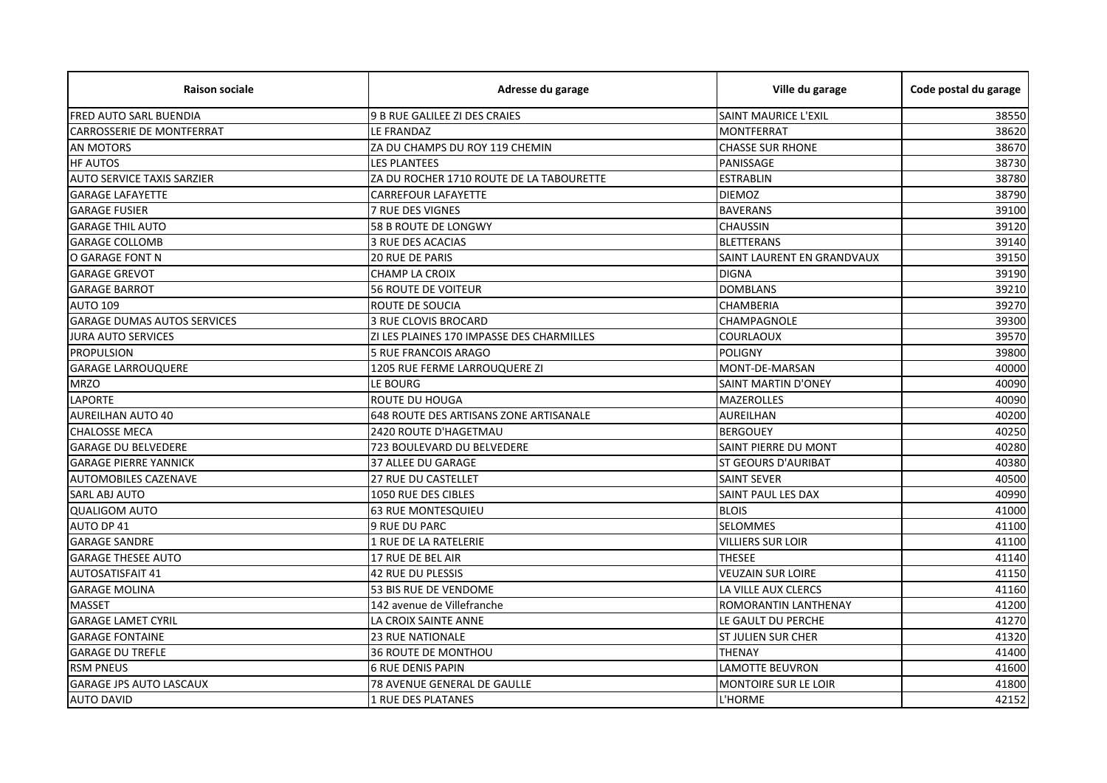| <b>Raison sociale</b>              | Adresse du garage                         | Ville du garage             | Code postal du garage |
|------------------------------------|-------------------------------------------|-----------------------------|-----------------------|
| FRED AUTO SARL BUENDIA             | 9 B RUE GALILEE ZI DES CRAIES             | <b>SAINT MAURICE L'EXIL</b> | 38550                 |
| <b>CARROSSERIE DE MONTFERRAT</b>   | LE FRANDAZ                                | <b>MONTFERRAT</b>           | 38620                 |
| <b>AN MOTORS</b>                   | ZA DU CHAMPS DU ROY 119 CHEMIN            | <b>CHASSE SUR RHONE</b>     | 38670                 |
| <b>HF AUTOS</b>                    | <b>LES PLANTEES</b>                       | PANISSAGE                   | 38730                 |
| <b>AUTO SERVICE TAXIS SARZIER</b>  | ZA DU ROCHER 1710 ROUTE DE LA TABOURETTE  | <b>ESTRABLIN</b>            | 38780                 |
| <b>GARAGE LAFAYETTE</b>            | <b>CARREFOUR LAFAYETTE</b>                | <b>DIEMOZ</b>               | 38790                 |
| <b>GARAGE FUSIER</b>               | 7 RUE DES VIGNES                          | <b>BAVERANS</b>             | 39100                 |
| <b>GARAGE THIL AUTO</b>            | 58 B ROUTE DE LONGWY                      | <b>CHAUSSIN</b>             | 39120                 |
| <b>GARAGE COLLOMB</b>              | <b>3 RUE DES ACACIAS</b>                  | <b>BLETTERANS</b>           | 39140                 |
| O GARAGE FONT N                    | 20 RUE DE PARIS                           | SAINT LAURENT EN GRANDVAUX  | 39150                 |
| <b>GARAGE GREVOT</b>               | <b>CHAMP LA CROIX</b>                     | <b>DIGNA</b>                | 39190                 |
| <b>GARAGE BARROT</b>               | <b>56 ROUTE DE VOITEUR</b>                | <b>DOMBLANS</b>             | 39210                 |
| <b>AUTO 109</b>                    | ROUTE DE SOUCIA                           | <b>CHAMBERIA</b>            | 39270                 |
| <b>GARAGE DUMAS AUTOS SERVICES</b> | 3 RUE CLOVIS BROCARD                      | CHAMPAGNOLE                 | 39300                 |
| <b>JURA AUTO SERVICES</b>          | ZI LES PLAINES 170 IMPASSE DES CHARMILLES | <b>COURLAOUX</b>            | 39570                 |
| <b>PROPULSION</b>                  | 5 RUE FRANCOIS ARAGO                      | <b>POLIGNY</b>              | 39800                 |
| <b>GARAGE LARROUQUERE</b>          | 1205 RUE FERME LARROUQUERE ZI             | MONT-DE-MARSAN              | 40000                 |
| <b>MRZO</b>                        | LE BOURG                                  | <b>SAINT MARTIN D'ONEY</b>  | 40090                 |
| <b>LAPORTE</b>                     | <b>ROUTE DU HOUGA</b>                     | <b>MAZEROLLES</b>           | 40090                 |
| <b>AUREILHAN AUTO 40</b>           | 648 ROUTE DES ARTISANS ZONE ARTISANALE    | <b>AUREILHAN</b>            | 40200                 |
| <b>CHALOSSE MECA</b>               | 2420 ROUTE D'HAGETMAU                     | <b>BERGOUEY</b>             | 40250                 |
| <b>GARAGE DU BELVEDERE</b>         | 723 BOULEVARD DU BELVEDERE                | SAINT PIERRE DU MONT        | 40280                 |
| <b>GARAGE PIERRE YANNICK</b>       | 37 ALLEE DU GARAGE                        | <b>ST GEOURS D'AURIBAT</b>  | 40380                 |
| <b>AUTOMOBILES CAZENAVE</b>        | <b>27 RUE DU CASTELLET</b>                | <b>SAINT SEVER</b>          | 40500                 |
| <b>SARL ABJ AUTO</b>               | 1050 RUE DES CIBLES                       | <b>SAINT PAUL LES DAX</b>   | 40990                 |
| <b>QUALIGOM AUTO</b>               | 63 RUE MONTESQUIEU                        | <b>BLOIS</b>                | 41000                 |
| AUTO DP 41                         | 9 RUE DU PARC                             | <b>SELOMMES</b>             | 41100                 |
| <b>GARAGE SANDRE</b>               | 1 RUE DE LA RATELERIE                     | <b>VILLIERS SUR LOIR</b>    | 41100                 |
| <b>GARAGE THESEE AUTO</b>          | 17 RUE DE BEL AIR                         | <b>THESEE</b>               | 41140                 |
| <b>AUTOSATISFAIT 41</b>            | <b>42 RUE DU PLESSIS</b>                  | <b>VEUZAIN SUR LOIRE</b>    | 41150                 |
| <b>GARAGE MOLINA</b>               | 53 BIS RUE DE VENDOME                     | LA VILLE AUX CLERCS         | 41160                 |
| <b>MASSET</b>                      | 142 avenue de Villefranche                | <b>ROMORANTIN LANTHENAY</b> | 41200                 |
| <b>GARAGE LAMET CYRIL</b>          | LA CROIX SAINTE ANNE                      | LE GAULT DU PERCHE          | 41270                 |
| <b>GARAGE FONTAINE</b>             | 23 RUE NATIONALE                          | <b>ST JULIEN SUR CHER</b>   | 41320                 |
| <b>GARAGE DU TREFLE</b>            | <b>36 ROUTE DE MONTHOU</b>                | <b>THENAY</b>               | 41400                 |
| <b>RSM PNEUS</b>                   | <b>6 RUE DENIS PAPIN</b>                  | <b>LAMOTTE BEUVRON</b>      | 41600                 |
| <b>GARAGE JPS AUTO LASCAUX</b>     | 78 AVENUE GENERAL DE GAULLE               | MONTOIRE SUR LE LOIR        | 41800                 |
| <b>AUTO DAVID</b>                  | 1 RUE DES PLATANES                        | L'HORME                     | 42152                 |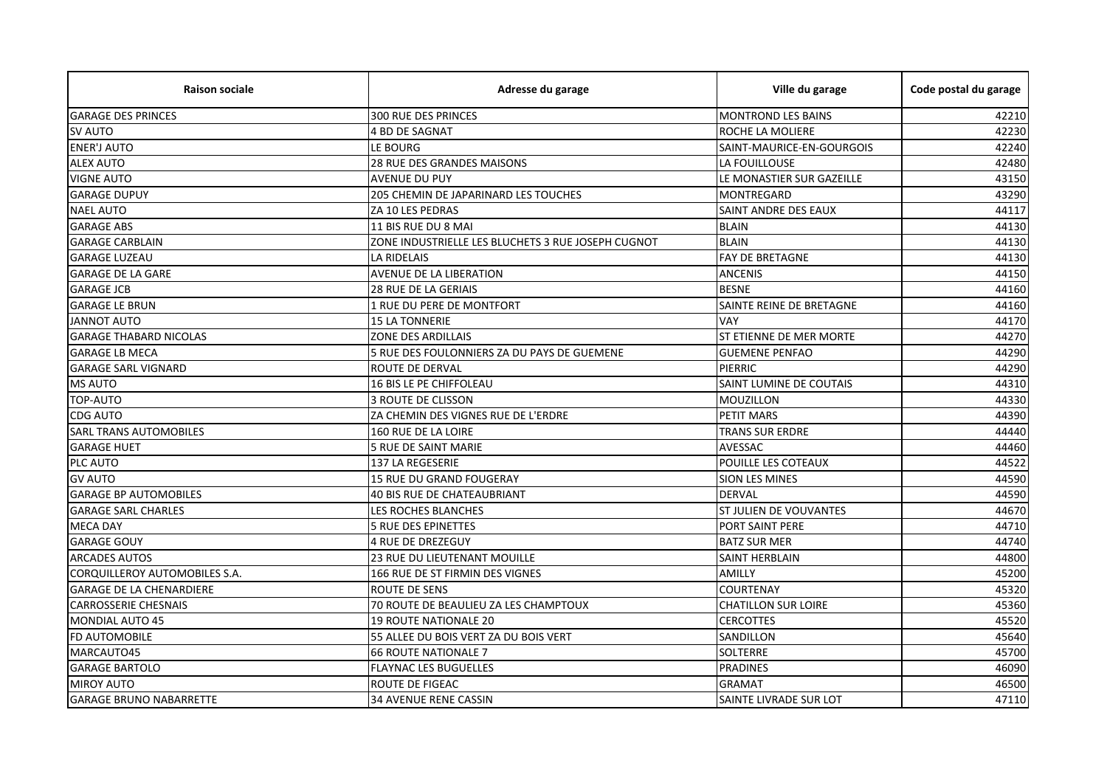| <b>Raison sociale</b>                | Adresse du garage                                  | Ville du garage            | Code postal du garage |
|--------------------------------------|----------------------------------------------------|----------------------------|-----------------------|
| <b>GARAGE DES PRINCES</b>            | 300 RUE DES PRINCES                                | <b>MONTROND LES BAINS</b>  | 42210                 |
| <b>SV AUTO</b>                       | 4 BD DE SAGNAT                                     | ROCHE LA MOLIERE           | 42230                 |
| <b>ENER'J AUTO</b>                   | LE BOURG                                           | SAINT-MAURICE-EN-GOURGOIS  | 42240                 |
| <b>ALEX AUTO</b>                     | 28 RUE DES GRANDES MAISONS                         | LA FOUILLOUSE              | 42480                 |
| <b>VIGNE AUTO</b>                    | <b>AVENUE DU PUY</b>                               | LE MONASTIER SUR GAZEILLE  | 43150                 |
| <b>GARAGE DUPUY</b>                  | 205 CHEMIN DE JAPARINARD LES TOUCHES               | <b>MONTREGARD</b>          | 43290                 |
| <b>NAEL AUTO</b>                     | ZA 10 LES PEDRAS                                   | SAINT ANDRE DES EAUX       | 44117                 |
| <b>GARAGE ABS</b>                    | 11 BIS RUE DU 8 MAI                                | <b>BLAIN</b>               | 44130                 |
| <b>GARAGE CARBLAIN</b>               | ZONE INDUSTRIELLE LES BLUCHETS 3 RUE JOSEPH CUGNOT | <b>BLAIN</b>               | 44130                 |
| <b>GARAGE LUZEAU</b>                 | <b>LA RIDELAIS</b>                                 | <b>FAY DE BRETAGNE</b>     | 44130                 |
| <b>GARAGE DE LA GARE</b>             | AVENUE DE LA LIBERATION                            | <b>ANCENIS</b>             | 44150                 |
| <b>GARAGE JCB</b>                    | <b>28 RUE DE LA GERIAIS</b>                        | <b>BESNE</b>               | 44160                 |
| <b>GARAGE LE BRUN</b>                | 1 RUE DU PERE DE MONTFORT                          | SAINTE REINE DE BRETAGNE   | 44160                 |
| JANNOT AUTO                          | <b>15 LA TONNERIE</b>                              | <b>VAY</b>                 | 44170                 |
| <b>GARAGE THABARD NICOLAS</b>        | ZONE DES ARDILLAIS                                 | ST ETIENNE DE MER MORTE    | 44270                 |
| <b>GARAGE LB MECA</b>                | 5 RUE DES FOULONNIERS ZA DU PAYS DE GUEMENE        | <b>GUEMENE PENFAO</b>      | 44290                 |
| <b>GARAGE SARL VIGNARD</b>           | <b>ROUTE DE DERVAL</b>                             | PIERRIC                    | 44290                 |
| <b>MS AUTO</b>                       | <b>16 BIS LE PE CHIFFOLEAU</b>                     | SAINT LUMINE DE COUTAIS    | 44310                 |
| TOP-AUTO                             | 3 ROUTE DE CLISSON                                 | <b>MOUZILLON</b>           | 44330                 |
| <b>CDG AUTO</b>                      | ZA CHEMIN DES VIGNES RUE DE L'ERDRE                | PETIT MARS                 | 44390                 |
| <b>SARL TRANS AUTOMOBILES</b>        | 160 RUE DE LA LOIRE                                | TRANS SUR ERDRE            | 44440                 |
| <b>GARAGE HUET</b>                   | 5 RUE DE SAINT MARIE                               | AVESSAC                    | 44460                 |
| PLC AUTO                             | 137 LA REGESERIE                                   | POUILLE LES COTEAUX        | 44522                 |
| <b>GV AUTO</b>                       | <b>15 RUE DU GRAND FOUGERAY</b>                    | <b>SION LES MINES</b>      | 44590                 |
| <b>GARAGE BP AUTOMOBILES</b>         | <b>40 BIS RUE DE CHATEAUBRIANT</b>                 | <b>DERVAL</b>              | 44590                 |
| <b>GARAGE SARL CHARLES</b>           | LES ROCHES BLANCHES                                | ST JULIEN DE VOUVANTES     | 44670                 |
| <b>MECA DAY</b>                      | <b>5 RUE DES EPINETTES</b>                         | <b>PORT SAINT PERE</b>     | 44710                 |
| <b>GARAGE GOUY</b>                   | <b>4 RUE DE DREZEGUY</b>                           | <b>BATZ SUR MER</b>        | 44740                 |
| <b>ARCADES AUTOS</b>                 | 23 RUE DU LIEUTENANT MOUILLE                       | SAINT HERBLAIN             | 44800                 |
| <b>CORQUILLEROY AUTOMOBILES S.A.</b> | 166 RUE DE ST FIRMIN DES VIGNES                    | <b>AMILLY</b>              | 45200                 |
| <b>GARAGE DE LA CHENARDIERE</b>      | <b>ROUTE DE SENS</b>                               | <b>COURTENAY</b>           | 45320                 |
| <b>CARROSSERIE CHESNAIS</b>          | 70 ROUTE DE BEAULIEU ZA LES CHAMPTOUX              | <b>CHATILLON SUR LOIRE</b> | 45360                 |
| MONDIAL AUTO 45                      | 19 ROUTE NATIONALE 20                              | <b>CERCOTTES</b>           | 45520                 |
| FD AUTOMOBILE                        | 55 ALLEE DU BOIS VERT ZA DU BOIS VERT              | SANDILLON                  | 45640                 |
| MARCAUTO45                           | <b>66 ROUTE NATIONALE 7</b>                        | <b>SOLTERRE</b>            | 45700                 |
| <b>GARAGE BARTOLO</b>                | <b>FLAYNAC LES BUGUELLES</b>                       | <b>PRADINES</b>            | 46090                 |
| <b>MIROY AUTO</b>                    | ROUTE DE FIGEAC                                    | <b>GRAMAT</b>              | 46500                 |
| <b>GARAGE BRUNO NABARRETTE</b>       | <b>34 AVENUE RENE CASSIN</b>                       | SAINTE LIVRADE SUR LOT     | 47110                 |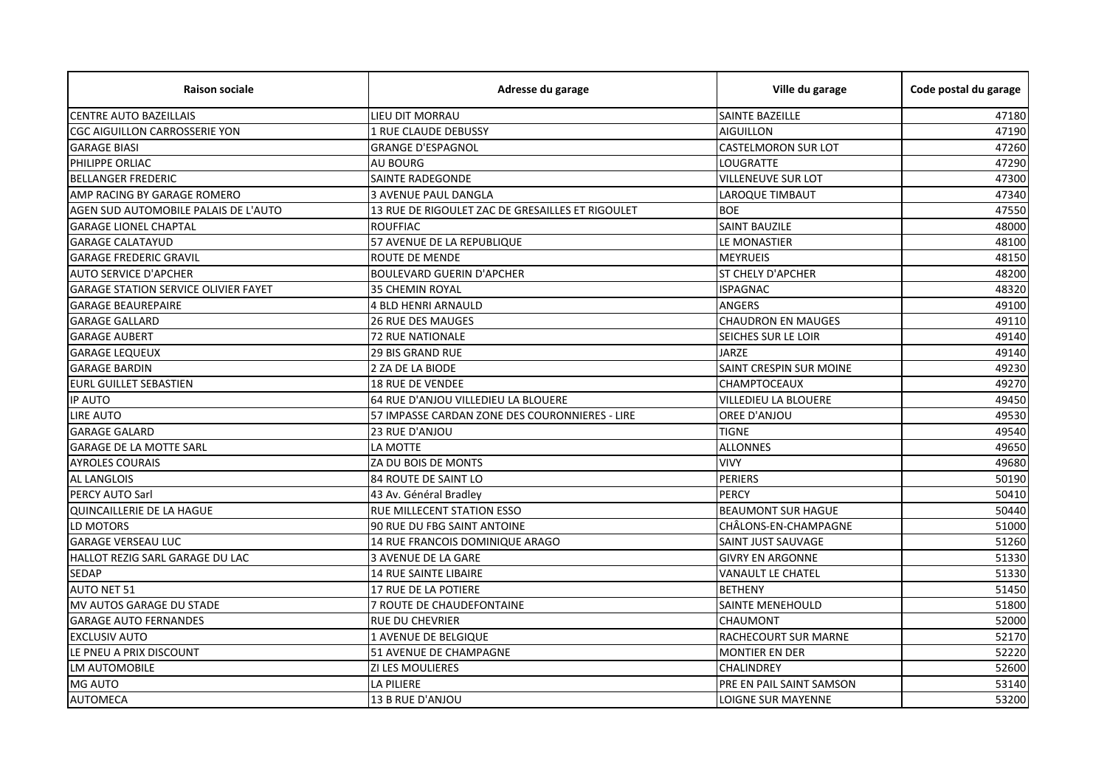| <b>Raison sociale</b>                       | Adresse du garage                                | Ville du garage             | Code postal du garage |
|---------------------------------------------|--------------------------------------------------|-----------------------------|-----------------------|
| <b>CENTRE AUTO BAZEILLAIS</b>               | LIEU DIT MORRAU                                  | SAINTE BAZEILLE             | 47180                 |
| CGC AIGUILLON CARROSSERIE YON               | 1 RUE CLAUDE DEBUSSY                             | <b>AIGUILLON</b>            | 47190                 |
| <b>GARAGE BIASI</b>                         | <b>GRANGE D'ESPAGNOL</b>                         | <b>CASTELMORON SUR LOT</b>  | 47260                 |
| PHILIPPE ORLIAC                             | <b>AU BOURG</b>                                  | <b>LOUGRATTE</b>            | 47290                 |
| <b>BELLANGER FREDERIC</b>                   | SAINTE RADEGONDE                                 | <b>VILLENEUVE SUR LOT</b>   | 47300                 |
| AMP RACING BY GARAGE ROMERO                 | <b>3 AVENUE PAUL DANGLA</b>                      | LAROQUE TIMBAUT             | 47340                 |
| AGEN SUD AUTOMOBILE PALAIS DE L'AUTO        | 13 RUE DE RIGOULET ZAC DE GRESAILLES ET RIGOULET | <b>BOE</b>                  | 47550                 |
| <b>GARAGE LIONEL CHAPTAL</b>                | <b>ROUFFIAC</b>                                  | <b>SAINT BAUZILE</b>        | 48000                 |
| <b>GARAGE CALATAYUD</b>                     | 57 AVENUE DE LA REPUBLIQUE                       | LE MONASTIER                | 48100                 |
| <b>GARAGE FREDERIC GRAVIL</b>               | ROUTE DE MENDE                                   | <b>MEYRUEIS</b>             | 48150                 |
| <b>AUTO SERVICE D'APCHER</b>                | <b>BOULEVARD GUERIN D'APCHER</b>                 | <b>ST CHELY D'APCHER</b>    | 48200                 |
| <b>GARAGE STATION SERVICE OLIVIER FAYET</b> | <b>35 CHEMIN ROYAL</b>                           | <b>ISPAGNAC</b>             | 48320                 |
| <b>GARAGE BEAUREPAIRE</b>                   | 4 BLD HENRI ARNAULD                              | <b>ANGERS</b>               | 49100                 |
| <b>GARAGE GALLARD</b>                       | <b>26 RUE DES MAUGES</b>                         | <b>CHAUDRON EN MAUGES</b>   | 49110                 |
| <b>GARAGE AUBERT</b>                        | <b>72 RUE NATIONALE</b>                          | <b>SEICHES SUR LE LOIR</b>  | 49140                 |
| <b>GARAGE LEQUEUX</b>                       | <b>29 BIS GRAND RUE</b>                          | <b>JARZE</b>                | 49140                 |
| <b>GARAGE BARDIN</b>                        | 2 ZA DE LA BIODE                                 | SAINT CRESPIN SUR MOINE     | 49230                 |
| <b>EURL GUILLET SEBASTIEN</b>               | <b>18 RUE DE VENDEE</b>                          | CHAMPTOCEAUX                | 49270                 |
| <b>IP AUTO</b>                              | 64 RUE D'ANJOU VILLEDIEU LA BLOUERE              | <b>VILLEDIEU LA BLOUERE</b> | 49450                 |
| <b>LIRE AUTO</b>                            | 57 IMPASSE CARDAN ZONE DES COURONNIERES - LIRE   | OREE D'ANJOU                | 49530                 |
| <b>GARAGE GALARD</b>                        | 23 RUE D'ANJOU                                   | <b>TIGNE</b>                | 49540                 |
| <b>GARAGE DE LA MOTTE SARL</b>              | LA MOTTE                                         | <b>ALLONNES</b>             | 49650                 |
| <b>AYROLES COURAIS</b>                      | ZA DU BOIS DE MONTS                              | <b>VIVY</b>                 | 49680                 |
| <b>AL LANGLOIS</b>                          | 84 ROUTE DE SAINT LO                             | <b>PERIERS</b>              | 50190                 |
| <b>PERCY AUTO Sarl</b>                      | 43 Av. Général Bradley                           | <b>PERCY</b>                | 50410                 |
| QUINCAILLERIE DE LA HAGUE                   | RUE MILLECENT STATION ESSO                       | <b>BEAUMONT SUR HAGUE</b>   | 50440                 |
| LD MOTORS                                   | 90 RUE DU FBG SAINT ANTOINE                      | CHÂLONS-EN-CHAMPAGNE        | 51000                 |
| <b>GARAGE VERSEAU LUC</b>                   | 14 RUE FRANCOIS DOMINIQUE ARAGO                  | <b>SAINT JUST SAUVAGE</b>   | 51260                 |
| HALLOT REZIG SARL GARAGE DU LAC             | <b>3 AVENUE DE LA GARE</b>                       | <b>GIVRY EN ARGONNE</b>     | 51330                 |
| SEDAP                                       | <b>14 RUE SAINTE LIBAIRE</b>                     | <b>VANAULT LE CHATEL</b>    | 51330                 |
| <b>AUTO NET 51</b>                          | <b>17 RUE DE LA POTIERE</b>                      | <b>BETHENY</b>              | 51450                 |
| MV AUTOS GARAGE DU STADE                    | 7 ROUTE DE CHAUDEFONTAINE                        | <b>SAINTE MENEHOULD</b>     | 51800                 |
| <b>GARAGE AUTO FERNANDES</b>                | <b>RUE DU CHEVRIER</b>                           | <b>CHAUMONT</b>             | 52000                 |
| <b>EXCLUSIV AUTO</b>                        | 1 AVENUE DE BELGIQUE                             | RACHECOURT SUR MARNE        | 52170                 |
| LE PNEU A PRIX DISCOUNT                     | <b>51 AVENUE DE CHAMPAGNE</b>                    | <b>MONTIER EN DER</b>       | 52220                 |
| <b>LM AUTOMOBILE</b>                        | <b>ZI LES MOULIERES</b>                          | <b>CHALINDREY</b>           | 52600                 |
| MG AUTO                                     | LA PILIERE                                       | PRE EN PAIL SAINT SAMSON    | 53140                 |
| <b>AUTOMECA</b>                             | 13 B RUE D'ANJOU                                 | <b>LOIGNE SUR MAYENNE</b>   | 53200                 |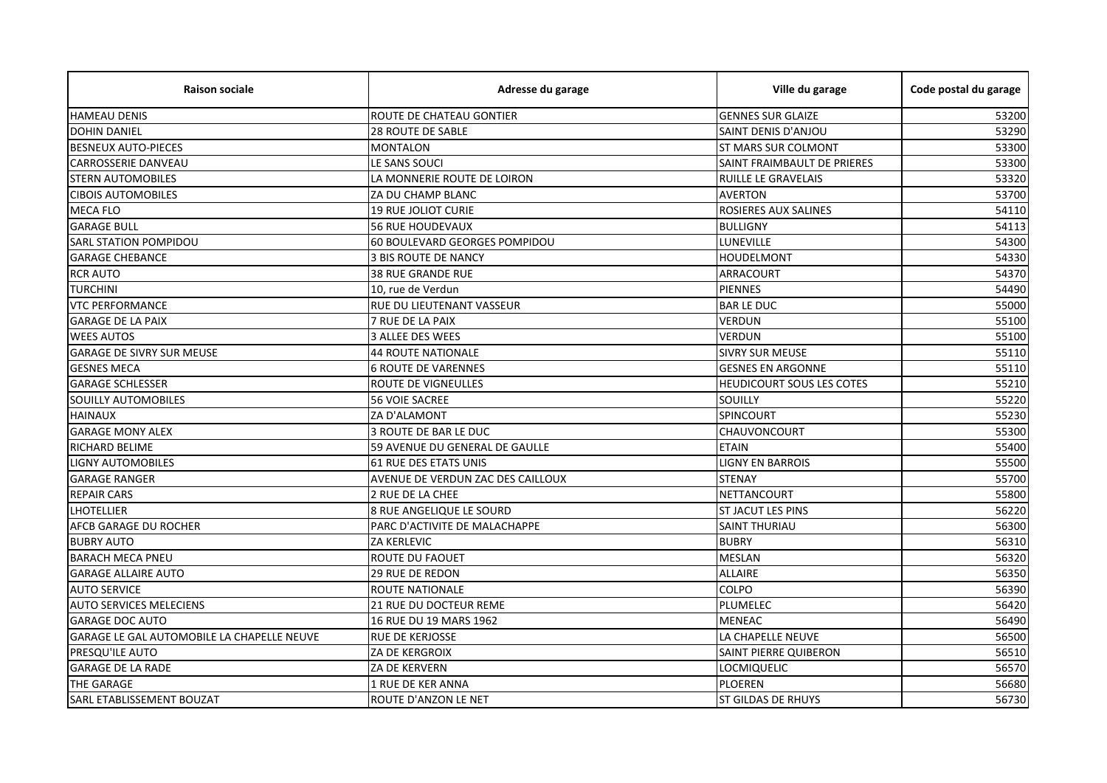| <b>Raison sociale</b>                      | Adresse du garage                 | Ville du garage                  | Code postal du garage |
|--------------------------------------------|-----------------------------------|----------------------------------|-----------------------|
| <b>HAMEAU DENIS</b>                        | ROUTE DE CHATEAU GONTIER          | <b>GENNES SUR GLAIZE</b>         | 53200                 |
| <b>DOHIN DANIEL</b>                        | <b>28 ROUTE DE SABLE</b>          | SAINT DENIS D'ANJOU              | 53290                 |
| <b>BESNEUX AUTO-PIECES</b>                 | <b>MONTALON</b>                   | <b>ST MARS SUR COLMONT</b>       | 53300                 |
| <b>CARROSSERIE DANVEAU</b>                 | LE SANS SOUCI                     | SAINT FRAIMBAULT DE PRIERES      | 53300                 |
| <b>STERN AUTOMOBILES</b>                   | LA MONNERIE ROUTE DE LOIRON       | <b>RUILLE LE GRAVELAIS</b>       | 53320                 |
| <b>CIBOIS AUTOMOBILES</b>                  | ZA DU CHAMP BLANC                 | <b>AVERTON</b>                   | 53700                 |
| <b>MECA FLO</b>                            | 19 RUE JOLIOT CURIE               | ROSIERES AUX SALINES             | 54110                 |
| <b>GARAGE BULL</b>                         | 56 RUE HOUDEVAUX                  | <b>BULLIGNY</b>                  | 54113                 |
| <b>SARL STATION POMPIDOU</b>               | 60 BOULEVARD GEORGES POMPIDOU     | LUNEVILLE                        | 54300                 |
| <b>GARAGE CHEBANCE</b>                     | 3 BIS ROUTE DE NANCY              | <b>HOUDELMONT</b>                | 54330                 |
| <b>RCR AUTO</b>                            | <b>38 RUE GRANDE RUE</b>          | ARRACOURT                        | 54370                 |
| <b>TURCHINI</b>                            | 10, rue de Verdun                 | <b>PIENNES</b>                   | 54490                 |
| <b>VTC PERFORMANCE</b>                     | RUE DU LIEUTENANT VASSEUR         | <b>BAR LE DUC</b>                | 55000                 |
| <b>GARAGE DE LA PAIX</b>                   | 7 RUE DE LA PAIX                  | <b>VERDUN</b>                    | 55100                 |
| <b>WEES AUTOS</b>                          | 3 ALLEE DES WEES                  | <b>VERDUN</b>                    | 55100                 |
| <b>GARAGE DE SIVRY SUR MEUSE</b>           | <b>44 ROUTE NATIONALE</b>         | <b>SIVRY SUR MEUSE</b>           | 55110                 |
| <b>GESNES MECA</b>                         | <b>6 ROUTE DE VARENNES</b>        | <b>GESNES EN ARGONNE</b>         | 55110                 |
| <b>GARAGE SCHLESSER</b>                    | ROUTE DE VIGNEULLES               | <b>HEUDICOURT SOUS LES COTES</b> | 55210                 |
| <b>SOUILLY AUTOMOBILES</b>                 | <b>56 VOIE SACREE</b>             | SOUILLY                          | 55220                 |
| <b>HAINAUX</b>                             | ZA D'ALAMONT                      | SPINCOURT                        | 55230                 |
| <b>GARAGE MONY ALEX</b>                    | 3 ROUTE DE BAR LE DUC             | CHAUVONCOURT                     | 55300                 |
| <b>RICHARD BELIME</b>                      | 59 AVENUE DU GENERAL DE GAULLE    | <b>ETAIN</b>                     | 55400                 |
| <b>LIGNY AUTOMOBILES</b>                   | <b>61 RUE DES ETATS UNIS</b>      | <b>LIGNY EN BARROIS</b>          | 55500                 |
| <b>GARAGE RANGER</b>                       | AVENUE DE VERDUN ZAC DES CAILLOUX | <b>STENAY</b>                    | 55700                 |
| <b>REPAIR CARS</b>                         | 2 RUE DE LA CHEE                  | NETTANCOURT                      | 55800                 |
| <b>LHOTELLIER</b>                          | 8 RUE ANGELIQUE LE SOURD          | <b>ST JACUT LES PINS</b>         | 56220                 |
| <b>AFCB GARAGE DU ROCHER</b>               | PARC D'ACTIVITE DE MALACHAPPE     | <b>SAINT THURIAU</b>             | 56300                 |
| <b>BUBRY AUTO</b>                          | ZA KERLEVIC                       | <b>BUBRY</b>                     | 56310                 |
| <b>BARACH MECA PNEU</b>                    | ROUTE DU FAOUET                   | <b>MESLAN</b>                    | 56320                 |
| <b>GARAGE ALLAIRE AUTO</b>                 | <b>29 RUE DE REDON</b>            | <b>ALLAIRE</b>                   | 56350                 |
| <b>AUTO SERVICE</b>                        | <b>ROUTE NATIONALE</b>            | <b>COLPO</b>                     | 56390                 |
| <b>AUTO SERVICES MELECIENS</b>             | 21 RUE DU DOCTEUR REME            | PLUMELEC                         | 56420                 |
| <b>GARAGE DOC AUTO</b>                     | 16 RUE DU 19 MARS 1962            | <b>MENEAC</b>                    | 56490                 |
| GARAGE LE GAL AUTOMOBILE LA CHAPELLE NEUVE | <b>RUE DE KERJOSSE</b>            | LA CHAPELLE NEUVE                | 56500                 |
| PRESQU'ILE AUTO                            | ZA DE KERGROIX                    | SAINT PIERRE QUIBERON            | 56510                 |
| <b>GARAGE DE LA RADE</b>                   | ZA DE KERVERN                     | LOCMIQUELIC                      | 56570                 |
| THE GARAGE                                 | 1 RUE DE KER ANNA                 | <b>PLOEREN</b>                   | 56680                 |
| SARL ETABLISSEMENT BOUZAT                  | ROUTE D'ANZON LE NET              | <b>ST GILDAS DE RHUYS</b>        | 56730                 |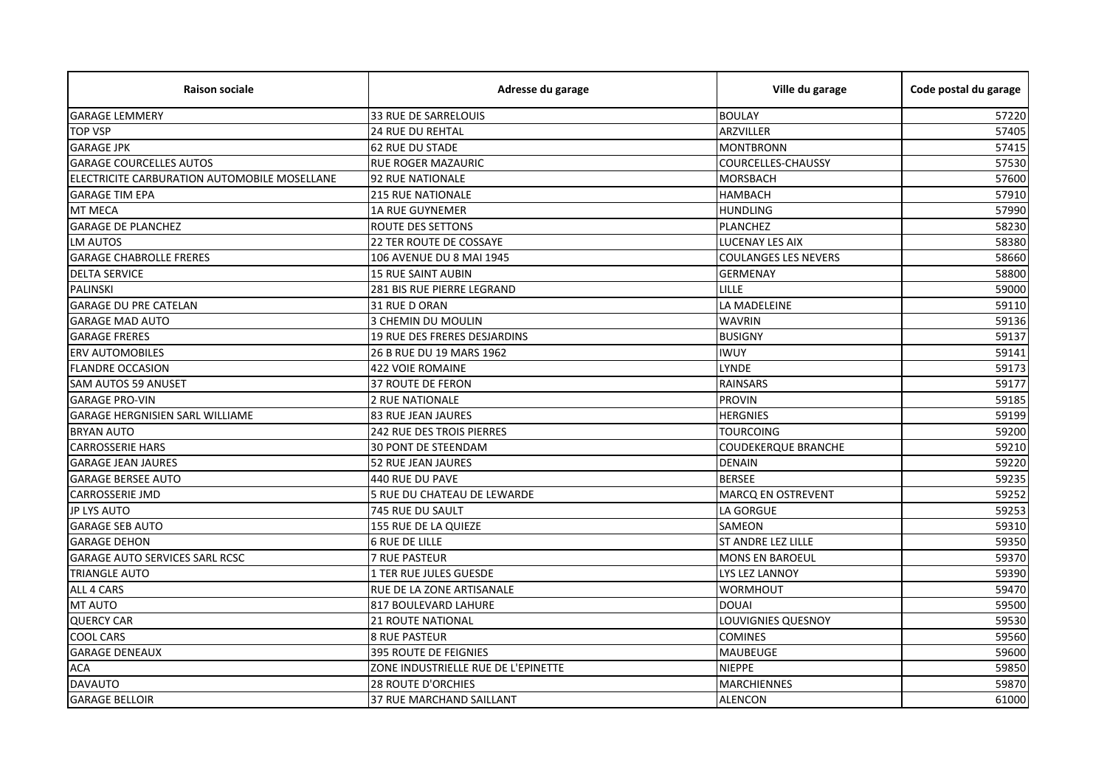| <b>Raison sociale</b>                                | Adresse du garage                   | Ville du garage             | Code postal du garage |
|------------------------------------------------------|-------------------------------------|-----------------------------|-----------------------|
| <b>GARAGE LEMMERY</b>                                | 33 RUE DE SARRELOUIS                | <b>BOULAY</b>               | 57220                 |
| <b>TOP VSP</b>                                       | 24 RUE DU REHTAL                    | ARZVILLER                   | 57405                 |
| <b>GARAGE JPK</b>                                    | <b>62 RUE DU STADE</b>              | <b>MONTBRONN</b>            | 57415                 |
| <b>GARAGE COURCELLES AUTOS</b>                       | <b>RUE ROGER MAZAURIC</b>           | <b>COURCELLES-CHAUSSY</b>   | 57530                 |
| <b>IELECTRICITE CARBURATION AUTOMOBILE MOSELLANE</b> | <b>92 RUE NATIONALE</b>             | <b>MORSBACH</b>             | 57600                 |
| <b>GARAGE TIM EPA</b>                                | <b>215 RUE NATIONALE</b>            | <b>HAMBACH</b>              | 57910                 |
| <b>MT MECA</b>                                       | <b>1A RUE GUYNEMER</b>              | <b>HUNDLING</b>             | 57990                 |
| <b>GARAGE DE PLANCHEZ</b>                            | ROUTE DES SETTONS                   | <b>PLANCHEZ</b>             | 58230                 |
| <b>LM AUTOS</b>                                      | <b>22 TER ROUTE DE COSSAYE</b>      | LUCENAY LES AIX             | 58380                 |
| <b>GARAGE CHABROLLE FRERES</b>                       | 106 AVENUE DU 8 MAI 1945            | <b>COULANGES LES NEVERS</b> | 58660                 |
| <b>DELTA SERVICE</b>                                 | <b>15 RUE SAINT AUBIN</b>           | <b>GERMENAY</b>             | 58800                 |
| <b>PALINSKI</b>                                      | 281 BIS RUE PIERRE LEGRAND          | LILLE                       | 59000                 |
| <b>GARAGE DU PRE CATELAN</b>                         | 31 RUE D ORAN                       | LA MADELEINE                | 59110                 |
| <b>GARAGE MAD AUTO</b>                               | 3 CHEMIN DU MOULIN                  | <b>WAVRIN</b>               | 59136                 |
| <b>GARAGE FRERES</b>                                 | 19 RUE DES FRERES DESJARDINS        | <b>BUSIGNY</b>              | 59137                 |
| <b>ERV AUTOMOBILES</b>                               | 26 B RUE DU 19 MARS 1962            | <b>IWUY</b>                 | 59141                 |
| <b>FLANDRE OCCASION</b>                              | <b>422 VOIE ROMAINE</b>             | LYNDE                       | 59173                 |
| SAM AUTOS 59 ANUSET                                  | <b>37 ROUTE DE FERON</b>            | <b>RAINSARS</b>             | 59177                 |
| <b>GARAGE PRO-VIN</b>                                | <b>2 RUE NATIONALE</b>              | <b>PROVIN</b>               | 59185                 |
| <b>GARAGE HERGNISIEN SARL WILLIAME</b>               | <b>83 RUE JEAN JAURES</b>           | <b>HERGNIES</b>             | 59199                 |
| <b>BRYAN AUTO</b>                                    | 242 RUE DES TROIS PIERRES           | <b>TOURCOING</b>            | 59200                 |
| <b>CARROSSERIE HARS</b>                              | <b>30 PONT DE STEENDAM</b>          | <b>COUDEKERQUE BRANCHE</b>  | 59210                 |
| <b>GARAGE JEAN JAURES</b>                            | 52 RUE JEAN JAURES                  | <b>DENAIN</b>               | 59220                 |
| <b>GARAGE BERSEE AUTO</b>                            | 440 RUE DU PAVE                     | <b>BERSEE</b>               | 59235                 |
| <b>CARROSSERIE JMD</b>                               | 5 RUE DU CHATEAU DE LEWARDE         | <b>MARCQ EN OSTREVENT</b>   | 59252                 |
| JP LYS AUTO                                          | 745 RUE DU SAULT                    | LA GORGUE                   | 59253                 |
| <b>GARAGE SEB AUTO</b>                               | 155 RUE DE LA QUIEZE                | <b>SAMEON</b>               | 59310                 |
| <b>GARAGE DEHON</b>                                  | <b>6 RUE DE LILLE</b>               | <b>ST ANDRE LEZ LILLE</b>   | 59350                 |
| <b>GARAGE AUTO SERVICES SARL RCSC</b>                | <b>7 RUE PASTEUR</b>                | <b>MONS EN BAROEUL</b>      | 59370                 |
| <b>TRIANGLE AUTO</b>                                 | 1 TER RUE JULES GUESDE              | LYS LEZ LANNOY              | 59390                 |
| ALL 4 CARS                                           | RUE DE LA ZONE ARTISANALE           | <b>WORMHOUT</b>             | 59470                 |
| MT AUTO                                              | 817 BOULEVARD LAHURE                | <b>DOUAI</b>                | 59500                 |
| <b>QUERCY CAR</b>                                    | 21 ROUTE NATIONAL                   | LOUVIGNIES QUESNOY          | 59530                 |
| <b>COOL CARS</b>                                     | <b>8 RUE PASTEUR</b>                | <b>COMINES</b>              | 59560                 |
| <b>GARAGE DENEAUX</b>                                | <b>395 ROUTE DE FEIGNIES</b>        | <b>MAUBEUGE</b>             | 59600                 |
| <b>ACA</b>                                           | ZONE INDUSTRIELLE RUE DE L'EPINETTE | <b>NIEPPE</b>               | 59850                 |
| <b>DAVAUTO</b>                                       | <b>28 ROUTE D'ORCHIES</b>           | <b>MARCHIENNES</b>          | 59870                 |
| <b>GARAGE BELLOIR</b>                                | 37 RUE MARCHAND SAILLANT            | <b>ALENCON</b>              | 61000                 |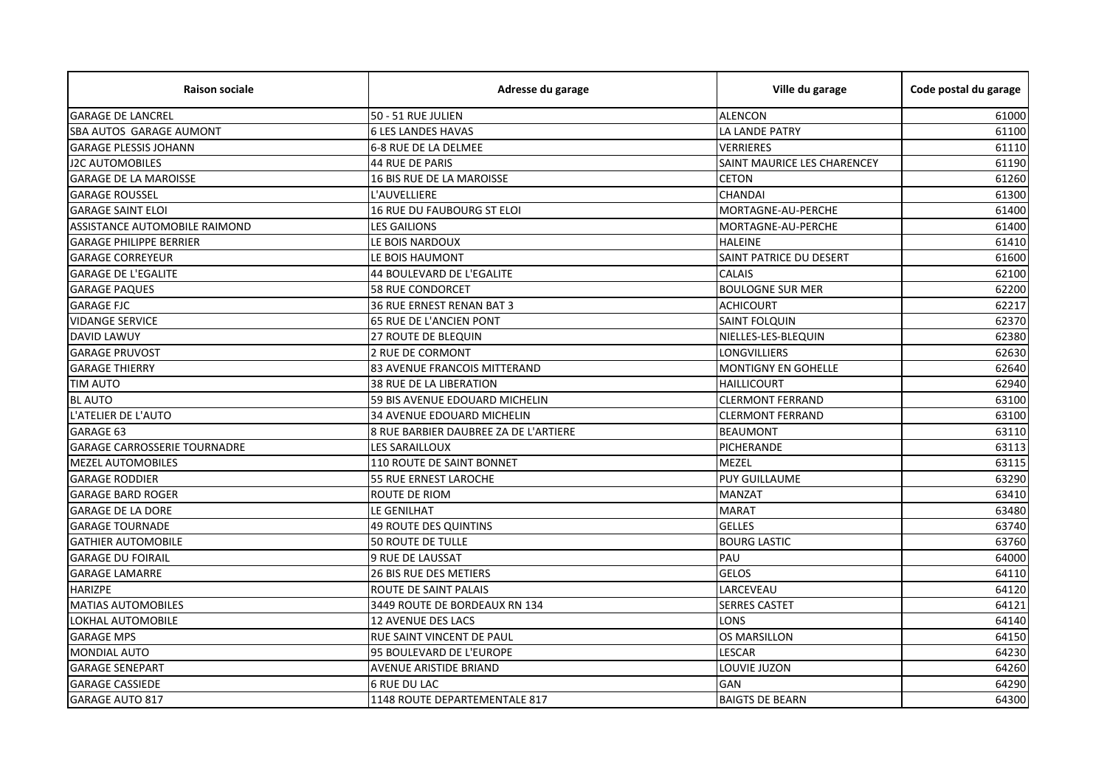| <b>Raison sociale</b>               | Adresse du garage                     | Ville du garage             | Code postal du garage |
|-------------------------------------|---------------------------------------|-----------------------------|-----------------------|
| <b>GARAGE DE LANCREL</b>            | 50 - 51 RUE JULIEN                    | <b>ALENCON</b>              | 61000                 |
| <b>SBA AUTOS GARAGE AUMONT</b>      | <b>6 LES LANDES HAVAS</b>             | LA LANDE PATRY              | 61100                 |
| <b>GARAGE PLESSIS JOHANN</b>        | 6-8 RUE DE LA DELMEE                  | <b>VERRIERES</b>            | 61110                 |
| J2C AUTOMOBILES                     | <b>44 RUE DE PARIS</b>                | SAINT MAURICE LES CHARENCEY | 61190                 |
| <b>GARAGE DE LA MAROISSE</b>        | 16 BIS RUE DE LA MAROISSE             | <b>CETON</b>                | 61260                 |
| <b>GARAGE ROUSSEL</b>               | L'AUVELLIERE                          | <b>CHANDAI</b>              | 61300                 |
| <b>GARAGE SAINT ELOI</b>            | <b>16 RUE DU FAUBOURG ST ELOI</b>     | MORTAGNE-AU-PERCHE          | 61400                 |
| ASSISTANCE AUTOMOBILE RAIMOND       | <b>LES GAILIONS</b>                   | MORTAGNE-AU-PERCHE          | 61400                 |
| <b>GARAGE PHILIPPE BERRIER</b>      | LE BOIS NARDOUX                       | <b>HALEINE</b>              | 61410                 |
| <b>GARAGE CORREYEUR</b>             | LE BOIS HAUMONT                       | SAINT PATRICE DU DESERT     | 61600                 |
| <b>GARAGE DE L'EGALITE</b>          | 44 BOULEVARD DE L'EGALITE             | <b>CALAIS</b>               | 62100                 |
| <b>GARAGE PAQUES</b>                | <b>58 RUE CONDORCET</b>               | <b>BOULOGNE SUR MER</b>     | 62200                 |
| <b>GARAGE FJC</b>                   | 36 RUE ERNEST RENAN BAT 3             | <b>ACHICOURT</b>            | 62217                 |
| <b>VIDANGE SERVICE</b>              | 65 RUE DE L'ANCIEN PONT               | <b>SAINT FOLQUIN</b>        | 62370                 |
| <b>DAVID LAWUY</b>                  | <b>27 ROUTE DE BLEQUIN</b>            | NIELLES-LES-BLEQUIN         | 62380                 |
| <b>GARAGE PRUVOST</b>               | 2 RUE DE CORMONT                      | LONGVILLIERS                | 62630                 |
| <b>GARAGE THIERRY</b>               | 83 AVENUE FRANCOIS MITTERAND          | <b>MONTIGNY EN GOHELLE</b>  | 62640                 |
| <b>TIM AUTO</b>                     | 38 RUE DE LA LIBERATION               | <b>HAILLICOURT</b>          | 62940                 |
| <b>BL AUTO</b>                      | 59 BIS AVENUE EDOUARD MICHELIN        | <b>CLERMONT FERRAND</b>     | 63100                 |
| L'ATELIER DE L'AUTO                 | <b>34 AVENUE EDOUARD MICHELIN</b>     | <b>CLERMONT FERRAND</b>     | 63100                 |
| <b>GARAGE 63</b>                    | 8 RUE BARBIER DAUBREE ZA DE L'ARTIERE | <b>BEAUMONT</b>             | 63110                 |
| <b>GARAGE CARROSSERIE TOURNADRE</b> | LES SARAILLOUX                        | PICHERANDE                  | 63113                 |
| <b>MEZEL AUTOMOBILES</b>            | 110 ROUTE DE SAINT BONNET             | MEZEL                       | 63115                 |
| <b>GARAGE RODDIER</b>               | 55 RUE ERNEST LAROCHE                 | <b>PUY GUILLAUME</b>        | 63290                 |
| <b>GARAGE BARD ROGER</b>            | <b>ROUTE DE RIOM</b>                  | <b>MANZAT</b>               | 63410                 |
| <b>GARAGE DE LA DORE</b>            | LE GENILHAT                           | <b>MARAT</b>                | 63480                 |
| <b>GARAGE TOURNADE</b>              | <b>49 ROUTE DES QUINTINS</b>          | <b>GELLES</b>               | 63740                 |
| <b>GATHIER AUTOMOBILE</b>           | <b>50 ROUTE DE TULLE</b>              | <b>BOURG LASTIC</b>         | 63760                 |
| <b>GARAGE DU FOIRAIL</b>            | 9 RUE DE LAUSSAT                      | PAU                         | 64000                 |
| <b>GARAGE LAMARRE</b>               | <b>26 BIS RUE DES METIERS</b>         | <b>GELOS</b>                | 64110                 |
| <b>HARIZPE</b>                      | ROUTE DE SAINT PALAIS                 | LARCEVEAU                   | 64120                 |
| <b>MATIAS AUTOMOBILES</b>           | 3449 ROUTE DE BORDEAUX RN 134         | <b>SERRES CASTET</b>        | 64121                 |
| LOKHAL AUTOMOBILE                   | 12 AVENUE DES LACS                    | <b>LONS</b>                 | 64140                 |
| <b>GARAGE MPS</b>                   | RUE SAINT VINCENT DE PAUL             | <b>OS MARSILLON</b>         | 64150                 |
| <b>MONDIAL AUTO</b>                 | 95 BOULEVARD DE L'EUROPE              | LESCAR                      | 64230                 |
| <b>GARAGE SENEPART</b>              | <b>AVENUE ARISTIDE BRIAND</b>         | LOUVIE JUZON                | 64260                 |
| <b>GARAGE CASSIEDE</b>              | <b>6 RUE DU LAC</b>                   | GAN                         | 64290                 |
| <b>GARAGE AUTO 817</b>              | 1148 ROUTE DEPARTEMENTALE 817         | <b>BAIGTS DE BEARN</b>      | 64300                 |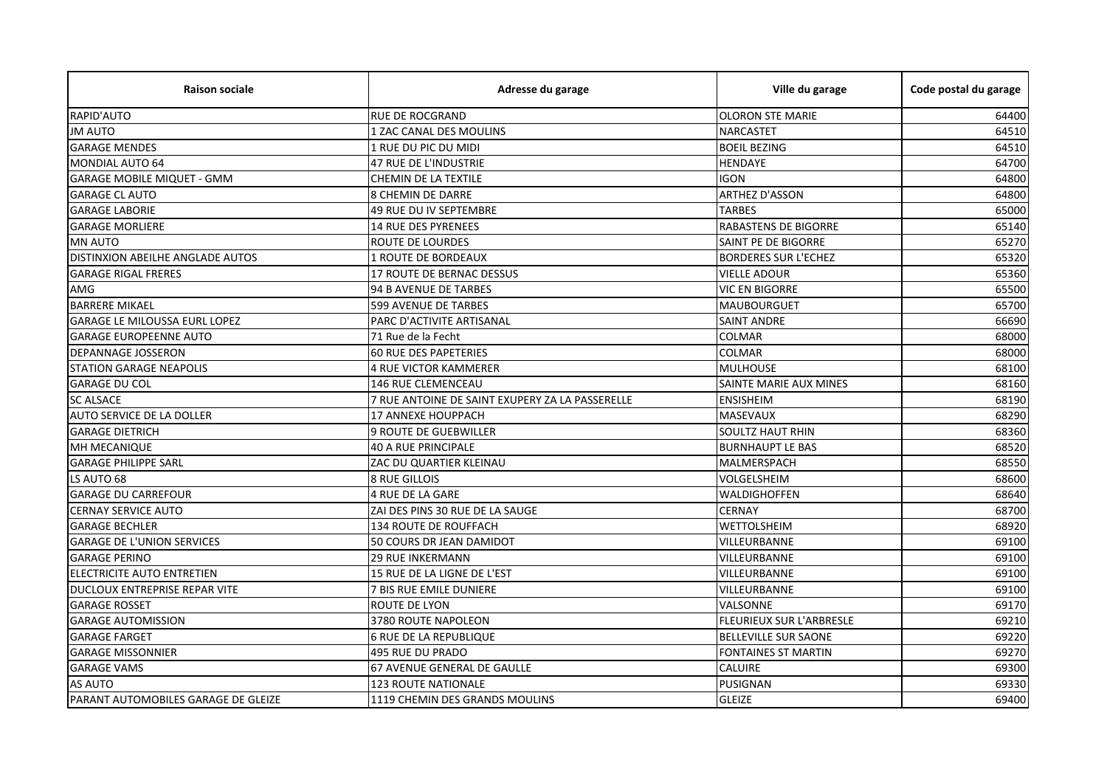| <b>Raison sociale</b>                       | Adresse du garage                               | Ville du garage                 | Code postal du garage |
|---------------------------------------------|-------------------------------------------------|---------------------------------|-----------------------|
| RAPID'AUTO                                  | <b>RUE DE ROCGRAND</b>                          | <b>OLORON STE MARIE</b>         | 64400                 |
| <b>JM AUTO</b>                              | 1 ZAC CANAL DES MOULINS                         | <b>NARCASTET</b>                | 64510                 |
| <b>GARAGE MENDES</b>                        | 1 RUE DU PIC DU MIDI                            | <b>BOEIL BEZING</b>             | 64510                 |
| MONDIAL AUTO 64                             | 47 RUE DE L'INDUSTRIE                           | <b>HENDAYE</b>                  | 64700                 |
| <b>GARAGE MOBILE MIQUET - GMM</b>           | <b>CHEMIN DE LA TEXTILE</b>                     | <b>IGON</b>                     | 64800                 |
| <b>GARAGE CL AUTO</b>                       | 8 CHEMIN DE DARRE                               | <b>ARTHEZ D'ASSON</b>           | 64800                 |
| <b>GARAGE LABORIE</b>                       | 49 RUE DU IV SEPTEMBRE                          | TARBES                          | 65000                 |
| <b>GARAGE MORLIERE</b>                      | <b>14 RUE DES PYRENEES</b>                      | <b>RABASTENS DE BIGORRE</b>     | 65140                 |
| <b>MN AUTO</b>                              | ROUTE DE LOURDES                                | SAINT PE DE BIGORRE             | 65270                 |
| <b>DISTINXION ABEILHE ANGLADE AUTOS</b>     | 1 ROUTE DE BORDEAUX                             | <b>BORDERES SUR L'ECHEZ</b>     | 65320                 |
| <b>GARAGE RIGAL FRERES</b>                  | 17 ROUTE DE BERNAC DESSUS                       | <b>VIELLE ADOUR</b>             | 65360                 |
| AMG                                         | 94 B AVENUE DE TARBES                           | <b>VIC EN BIGORRE</b>           | 65500                 |
| <b>BARRERE MIKAEL</b>                       | <b>599 AVENUE DE TARBES</b>                     | <b>MAUBOURGUET</b>              | 65700                 |
| <b>GARAGE LE MILOUSSA EURL LOPEZ</b>        | PARC D'ACTIVITE ARTISANAL                       | <b>SAINT ANDRE</b>              | 66690                 |
| <b>GARAGE EUROPEENNE AUTO</b>               | 71 Rue de la Fecht                              | <b>COLMAR</b>                   | 68000                 |
| <b>DEPANNAGE JOSSERON</b>                   | <b>60 RUE DES PAPETERIES</b>                    | <b>COLMAR</b>                   | 68000                 |
| <b>STATION GARAGE NEAPOLIS</b>              | 4 RUE VICTOR KAMMERER                           | <b>MULHOUSE</b>                 | 68100                 |
| <b>GARAGE DU COL</b>                        | <b>146 RUE CLEMENCEAU</b>                       | SAINTE MARIE AUX MINES          | 68160                 |
| <b>SC ALSACE</b>                            | 7 RUE ANTOINE DE SAINT EXUPERY ZA LA PASSERELLE | <b>ENSISHEIM</b>                | 68190                 |
| <b>AUTO SERVICE DE LA DOLLER</b>            | 17 ANNEXE HOUPPACH                              | <b>MASEVAUX</b>                 | 68290                 |
| <b>GARAGE DIETRICH</b>                      | <b>9 ROUTE DE GUEBWILLER</b>                    | <b>SOULTZ HAUT RHIN</b>         | 68360                 |
| <b>MH MECANIQUE</b>                         | <b>40 A RUE PRINCIPALE</b>                      | <b>BURNHAUPT LE BAS</b>         | 68520                 |
| <b>GARAGE PHILIPPE SARL</b>                 | ZAC DU QUARTIER KLEINAU                         | MALMERSPACH                     | 68550                 |
| LS AUTO 68                                  | <b>8 RUE GILLOIS</b>                            | VOLGELSHEIM                     | 68600                 |
| <b>GARAGE DU CARREFOUR</b>                  | <b>4 RUE DE LA GARE</b>                         | <b>WALDIGHOFFEN</b>             | 68640                 |
| <b>CERNAY SERVICE AUTO</b>                  | ZAI DES PINS 30 RUE DE LA SAUGE                 | <b>CERNAY</b>                   | 68700                 |
| <b>GARAGE BECHLER</b>                       | <b>134 ROUTE DE ROUFFACH</b>                    | WETTOLSHEIM                     | 68920                 |
| <b>GARAGE DE L'UNION SERVICES</b>           | 50 COURS DR JEAN DAMIDOT                        | VILLEURBANNE                    | 69100                 |
| <b>GARAGE PERINO</b>                        | <b>29 RUE INKERMANN</b>                         | VILLEURBANNE                    | 69100                 |
| ELECTRICITE AUTO ENTRETIEN                  | 15 RUE DE LA LIGNE DE L'EST                     | VILLEURBANNE                    | 69100                 |
| DUCLOUX ENTREPRISE REPAR VITE               | 7 BIS RUE EMILE DUNIERE                         | VILLEURBANNE                    | 69100                 |
| <b>GARAGE ROSSET</b>                        | ROUTE DE LYON                                   | VALSONNE                        | 69170                 |
| <b>GARAGE AUTOMISSION</b>                   | 3780 ROUTE NAPOLEON                             | <b>FLEURIEUX SUR L'ARBRESLE</b> | 69210                 |
| <b>GARAGE FARGET</b>                        | <b>6 RUE DE LA REPUBLIQUE</b>                   | <b>BELLEVILLE SUR SAONE</b>     | 69220                 |
| <b>GARAGE MISSONNIER</b>                    | 495 RUE DU PRADO                                | <b>FONTAINES ST MARTIN</b>      | 69270                 |
| <b>GARAGE VAMS</b>                          | 67 AVENUE GENERAL DE GAULLE                     | <b>CALUIRE</b>                  | 69300                 |
| <b>AS AUTO</b>                              | <b>123 ROUTE NATIONALE</b>                      | PUSIGNAN                        | 69330                 |
| <b>IPARANT AUTOMOBILES GARAGE DE GLEIZE</b> | 1119 CHEMIN DES GRANDS MOULINS                  | <b>GLEIZE</b>                   | 69400                 |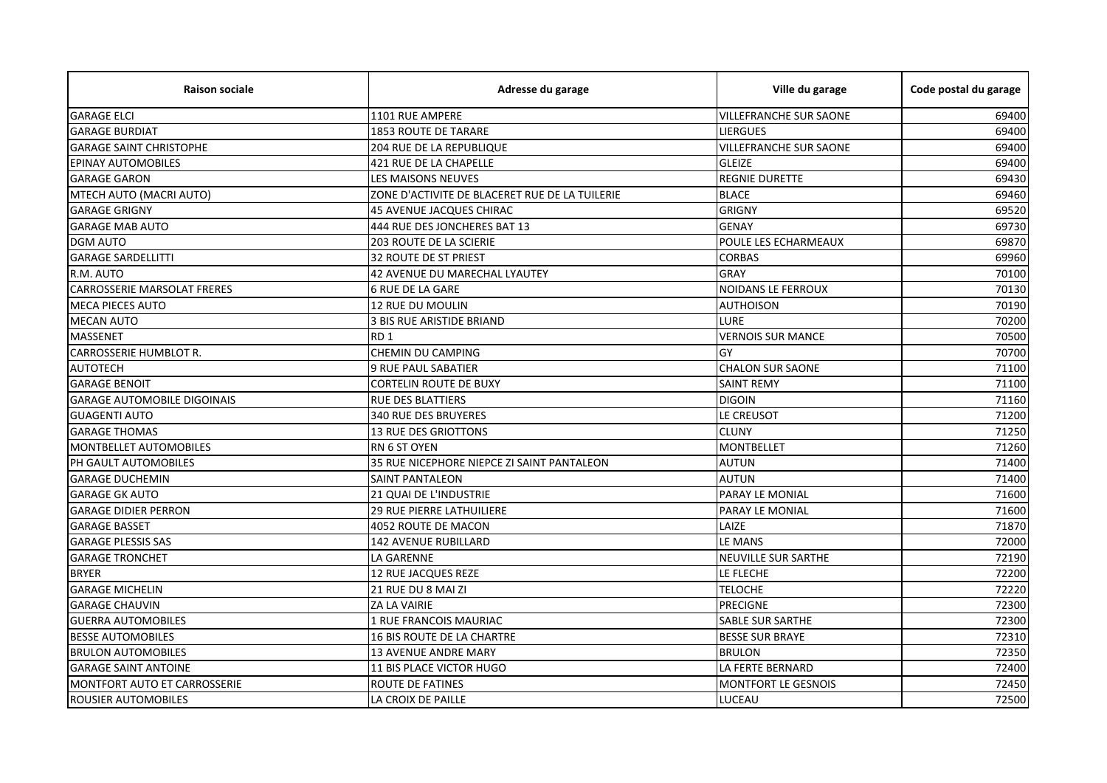| <b>Raison sociale</b>              | Adresse du garage                              | Ville du garage               | Code postal du garage |
|------------------------------------|------------------------------------------------|-------------------------------|-----------------------|
| <b>GARAGE ELCI</b>                 | 1101 RUE AMPERE                                | <b>VILLEFRANCHE SUR SAONE</b> | 69400                 |
| <b>GARAGE BURDIAT</b>              | 1853 ROUTE DE TARARE                           | LIERGUES                      | 69400                 |
| <b>GARAGE SAINT CHRISTOPHE</b>     | 204 RUE DE LA REPUBLIQUE                       | <b>VILLEFRANCHE SUR SAONE</b> | 69400                 |
| <b>EPINAY AUTOMOBILES</b>          | 421 RUE DE LA CHAPELLE                         | <b>GLEIZE</b>                 | 69400                 |
| <b>GARAGE GARON</b>                | <b>LES MAISONS NEUVES</b>                      | <b>REGNIE DURETTE</b>         | 69430                 |
| MTECH AUTO (MACRI AUTO)            | ZONE D'ACTIVITE DE BLACERET RUE DE LA TUILERIE | <b>BLACE</b>                  | 69460                 |
| <b>GARAGE GRIGNY</b>               | 45 AVENUE JACQUES CHIRAC                       | <b>GRIGNY</b>                 | 69520                 |
| <b>GARAGE MAB AUTO</b>             | 444 RUE DES JONCHERES BAT 13                   | <b>GENAY</b>                  | 69730                 |
| <b>DGM AUTO</b>                    | <b>203 ROUTE DE LA SCIERIE</b>                 | POULE LES ECHARMEAUX          | 69870                 |
| <b>GARAGE SARDELLITTI</b>          | <b>32 ROUTE DE ST PRIEST</b>                   | <b>CORBAS</b>                 | 69960                 |
| R.M. AUTO                          | 42 AVENUE DU MARECHAL LYAUTEY                  | <b>GRAY</b>                   | 70100                 |
| <b>CARROSSERIE MARSOLAT FRERES</b> | <b>6 RUE DE LA GARE</b>                        | <b>NOIDANS LE FERROUX</b>     | 70130                 |
| <b>MECA PIECES AUTO</b>            | <b>12 RUE DU MOULIN</b>                        | <b>AUTHOISON</b>              | 70190                 |
| <b>MECAN AUTO</b>                  | 3 BIS RUE ARISTIDE BRIAND                      | LURE                          | 70200                 |
| <b>MASSENET</b>                    | RD <sub>1</sub>                                | <b>VERNOIS SUR MANCE</b>      | 70500                 |
| CARROSSERIE HUMBLOT R.             | CHEMIN DU CAMPING                              | GY                            | 70700                 |
| <b>AUTOTECH</b>                    | <b>9 RUE PAUL SABATIER</b>                     | <b>CHALON SUR SAONE</b>       | 71100                 |
| <b>GARAGE BENOIT</b>               | <b>CORTELIN ROUTE DE BUXY</b>                  | <b>SAINT REMY</b>             | 71100                 |
| <b>GARAGE AUTOMOBILE DIGOINAIS</b> | <b>RUE DES BLATTIERS</b>                       | <b>DIGOIN</b>                 | 71160                 |
| <b>GUAGENTI AUTO</b>               | <b>340 RUE DES BRUYERES</b>                    | LE CREUSOT                    | 71200                 |
| <b>GARAGE THOMAS</b>               | <b>13 RUE DES GRIOTTONS</b>                    | <b>CLUNY</b>                  | 71250                 |
| MONTBELLET AUTOMOBILES             | <b>RN 6 ST OYEN</b>                            | <b>MONTBELLET</b>             | 71260                 |
| PH GAULT AUTOMOBILES               | 35 RUE NICEPHORE NIEPCE ZI SAINT PANTALEON     | <b>AUTUN</b>                  | 71400                 |
| <b>GARAGE DUCHEMIN</b>             | SAINT PANTALEON                                | <b>AUTUN</b>                  | 71400                 |
| <b>GARAGE GK AUTO</b>              | <b>21 QUAI DE L'INDUSTRIE</b>                  | <b>PARAY LE MONIAL</b>        | 71600                 |
| <b>GARAGE DIDIER PERRON</b>        | <b>29 RUE PIERRE LATHUILIERE</b>               | <b>PARAY LE MONIAL</b>        | 71600                 |
| <b>GARAGE BASSET</b>               | 4052 ROUTE DE MACON                            | LAIZE                         | 71870                 |
| <b>GARAGE PLESSIS SAS</b>          | <b>142 AVENUE RUBILLARD</b>                    | LE MANS                       | 72000                 |
| <b>GARAGE TRONCHET</b>             | LA GARENNE                                     | <b>NEUVILLE SUR SARTHE</b>    | 72190                 |
| <b>BRYER</b>                       | <b>12 RUE JACQUES REZE</b>                     | LE FLECHE                     | 72200                 |
| <b>GARAGE MICHELIN</b>             | 21 RUE DU 8 MAI ZI                             | <b>TELOCHE</b>                | 72220                 |
| <b>GARAGE CHAUVIN</b>              | ZA LA VAIRIE                                   | <b>PRECIGNE</b>               | 72300                 |
| <b>GUERRA AUTOMOBILES</b>          | 1 RUE FRANCOIS MAURIAC                         | <b>SABLE SUR SARTHE</b>       | 72300                 |
| <b>BESSE AUTOMOBILES</b>           | <b>16 BIS ROUTE DE LA CHARTRE</b>              | <b>BESSE SUR BRAYE</b>        | 72310                 |
| <b>BRULON AUTOMOBILES</b>          | <b>13 AVENUE ANDRE MARY</b>                    | <b>BRULON</b>                 | 72350                 |
| <b>GARAGE SAINT ANTOINE</b>        | 11 BIS PLACE VICTOR HUGO                       | LA FERTE BERNARD              | 72400                 |
| MONTFORT AUTO ET CARROSSERIE       | ROUTE DE FATINES                               | MONTFORT LE GESNOIS           | 72450                 |
| ROUSIER AUTOMOBILES                | LA CROIX DE PAILLE                             | LUCEAU                        | 72500                 |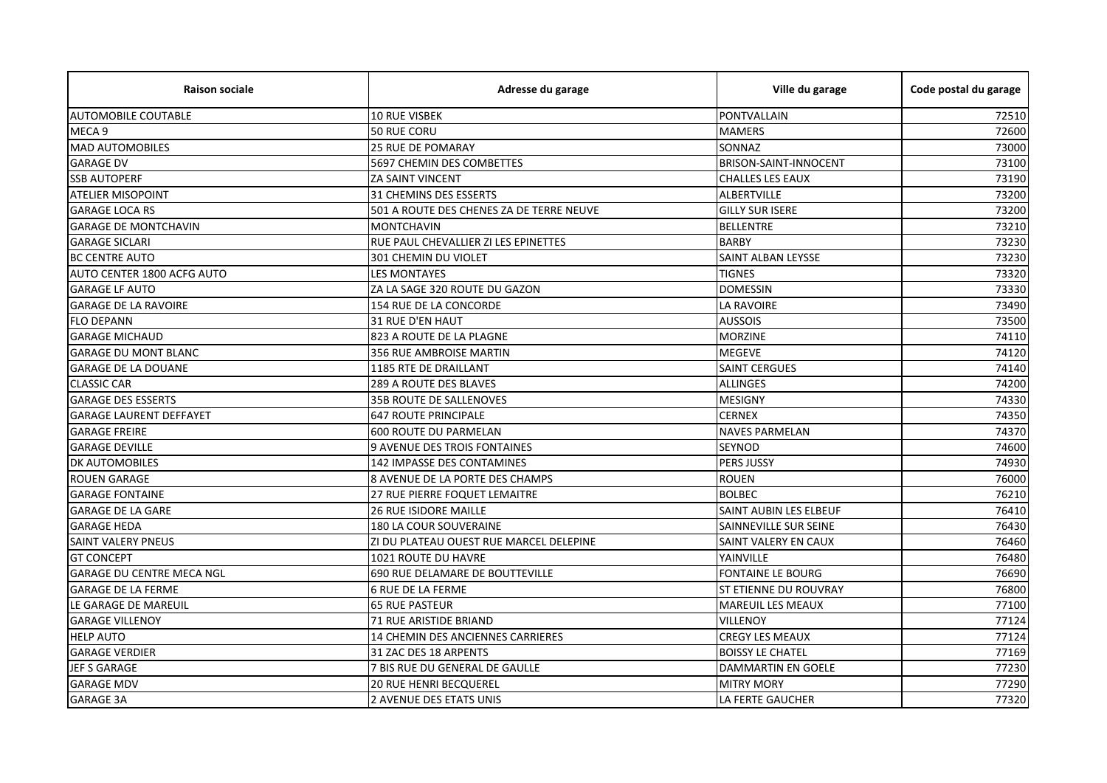| <b>Raison sociale</b>            | Adresse du garage                        | Ville du garage              | Code postal du garage |
|----------------------------------|------------------------------------------|------------------------------|-----------------------|
| <b>AUTOMOBILE COUTABLE</b>       | <b>10 RUE VISBEK</b>                     | <b>PONTVALLAIN</b>           | 72510                 |
| MECA 9                           | 50 RUE CORU                              | <b>MAMERS</b>                | 72600                 |
| <b>MAD AUTOMOBILES</b>           | <b>25 RUE DE POMARAY</b>                 | SONNAZ                       | 73000                 |
| <b>GARAGE DV</b>                 | 5697 CHEMIN DES COMBETTES                | <b>BRISON-SAINT-INNOCENT</b> | 73100                 |
| <b>SSB AUTOPERF</b>              | <b>ZA SAINT VINCENT</b>                  | <b>CHALLES LES EAUX</b>      | 73190                 |
| <b>ATELIER MISOPOINT</b>         | <b>31 CHEMINS DES ESSERTS</b>            | <b>ALBERTVILLE</b>           | 73200                 |
| <b>GARAGE LOCA RS</b>            | 501 A ROUTE DES CHENES ZA DE TERRE NEUVE | <b>GILLY SUR ISERE</b>       | 73200                 |
| <b>GARAGE DE MONTCHAVIN</b>      | <b>MONTCHAVIN</b>                        | <b>BELLENTRE</b>             | 73210                 |
| <b>GARAGE SICLARI</b>            | RUE PAUL CHEVALLIER ZI LES EPINETTES     | <b>BARBY</b>                 | 73230                 |
| <b>BC CENTRE AUTO</b>            | 301 CHEMIN DU VIOLET                     | SAINT ALBAN LEYSSE           | 73230                 |
| AUTO CENTER 1800 ACFG AUTO       | <b>LES MONTAYES</b>                      | <b>TIGNES</b>                | 73320                 |
| <b>GARAGE LF AUTO</b>            | ZA LA SAGE 320 ROUTE DU GAZON            | <b>DOMESSIN</b>              | 73330                 |
| <b>GARAGE DE LA RAVOIRE</b>      | 154 RUE DE LA CONCORDE                   | <b>LA RAVOIRE</b>            | 73490                 |
| <b>FLO DEPANN</b>                | <b>31 RUE D'EN HAUT</b>                  | <b>AUSSOIS</b>               | 73500                 |
| <b>GARAGE MICHAUD</b>            | 823 A ROUTE DE LA PLAGNE                 | <b>MORZINE</b>               | 74110                 |
| <b>GARAGE DU MONT BLANC</b>      | 356 RUE AMBROISE MARTIN                  | <b>MEGEVE</b>                | 74120                 |
| <b>GARAGE DE LA DOUANE</b>       | 1185 RTE DE DRAILLANT                    | <b>SAINT CERGUES</b>         | 74140                 |
| <b>CLASSIC CAR</b>               | <b>289 A ROUTE DES BLAVES</b>            | <b>ALLINGES</b>              | 74200                 |
| <b>GARAGE DES ESSERTS</b>        | <b>35B ROUTE DE SALLENOVES</b>           | <b>MESIGNY</b>               | 74330                 |
| <b>GARAGE LAURENT DEFFAYET</b>   | <b>647 ROUTE PRINCIPALE</b>              | <b>CERNEX</b>                | 74350                 |
| <b>GARAGE FREIRE</b>             | 600 ROUTE DU PARMELAN                    | <b>NAVES PARMELAN</b>        | 74370                 |
| <b>GARAGE DEVILLE</b>            | 9 AVENUE DES TROIS FONTAINES             | <b>SEYNOD</b>                | 74600                 |
| <b>DK AUTOMOBILES</b>            | 142 IMPASSE DES CONTAMINES               | PERS JUSSY                   | 74930                 |
| <b>ROUEN GARAGE</b>              | 8 AVENUE DE LA PORTE DES CHAMPS          | <b>ROUEN</b>                 | 76000                 |
| <b>GARAGE FONTAINE</b>           | 27 RUE PIERRE FOQUET LEMAITRE            | <b>BOLBEC</b>                | 76210                 |
| <b>GARAGE DE LA GARE</b>         | <b>26 RUE ISIDORE MAILLE</b>             | SAINT AUBIN LES ELBEUF       | 76410                 |
| <b>GARAGE HEDA</b>               | <b>180 LA COUR SOUVERAINE</b>            | SAINNEVILLE SUR SEINE        | 76430                 |
| <b>SAINT VALERY PNEUS</b>        | ZI DU PLATEAU OUEST RUE MARCEL DELEPINE  | <b>SAINT VALERY EN CAUX</b>  | 76460                 |
| <b>GT CONCEPT</b>                | 1021 ROUTE DU HAVRE                      | YAINVILLE                    | 76480                 |
| <b>GARAGE DU CENTRE MECA NGL</b> | 690 RUE DELAMARE DE BOUTTEVILLE          | <b>FONTAINE LE BOURG</b>     | 76690                 |
| <b>GARAGE DE LA FERME</b>        | <b>6 RUE DE LA FERME</b>                 | <b>ST ETIENNE DU ROUVRAY</b> | 76800                 |
| LE GARAGE DE MAREUIL             | <b>65 RUE PASTEUR</b>                    | <b>MAREUIL LES MEAUX</b>     | 77100                 |
| <b>GARAGE VILLENOY</b>           | 71 RUE ARISTIDE BRIAND                   | <b>VILLENOY</b>              | 77124                 |
| <b>HELP AUTO</b>                 | 14 CHEMIN DES ANCIENNES CARRIERES        | <b>CREGY LES MEAUX</b>       | 77124                 |
| <b>GARAGE VERDIER</b>            | 31 ZAC DES 18 ARPENTS                    | <b>BOISSY LE CHATEL</b>      | 77169                 |
| <b>JEF S GARAGE</b>              | 7 BIS RUE DU GENERAL DE GAULLE           | <b>DAMMARTIN EN GOELE</b>    | 77230                 |
| <b>GARAGE MDV</b>                | 20 RUE HENRI BECQUEREL                   | <b>MITRY MORY</b>            | 77290                 |
| <b>GARAGE 3A</b>                 | 2 AVENUE DES ETATS UNIS                  | LA FERTE GAUCHER             | 77320                 |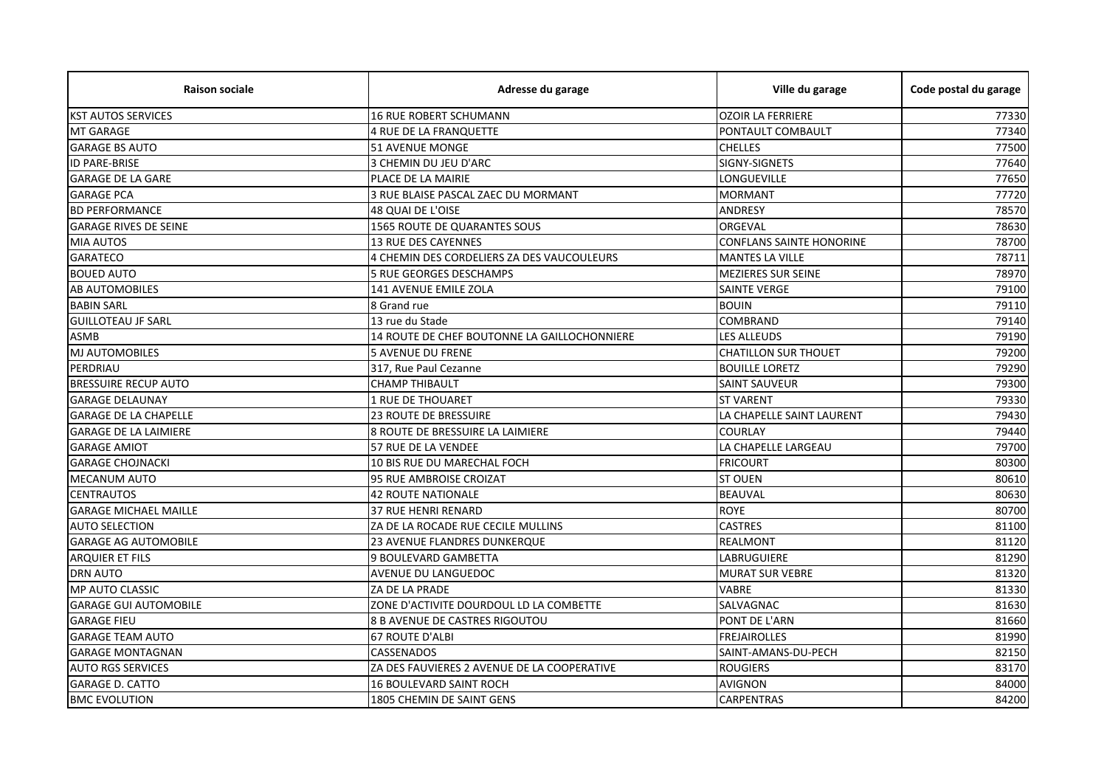| <b>Raison sociale</b>        | Adresse du garage                            | Ville du garage                 | Code postal du garage |
|------------------------------|----------------------------------------------|---------------------------------|-----------------------|
| <b>KST AUTOS SERVICES</b>    | <b>16 RUE ROBERT SCHUMANN</b>                | <b>OZOIR LA FERRIERE</b>        | 77330                 |
| MT GARAGE                    | <b>4 RUE DE LA FRANQUETTE</b>                | PONTAULT COMBAULT               | 77340                 |
| <b>GARAGE BS AUTO</b>        | <b>51 AVENUE MONGE</b>                       | <b>CHELLES</b>                  | 77500                 |
| <b>ID PARE-BRISE</b>         | 3 CHEMIN DU JEU D'ARC                        | SIGNY-SIGNETS                   | 77640                 |
| <b>GARAGE DE LA GARE</b>     | PLACE DE LA MAIRIE                           | LONGUEVILLE                     | 77650                 |
| <b>GARAGE PCA</b>            | 3 RUE BLAISE PASCAL ZAEC DU MORMANT          | <b>MORMANT</b>                  | 77720                 |
| <b>BD PERFORMANCE</b>        | <b>48 QUAI DE L'OISE</b>                     | ANDRESY                         | 78570                 |
| <b>GARAGE RIVES DE SEINE</b> | 1565 ROUTE DE QUARANTES SOUS                 | ORGEVAL                         | 78630                 |
| <b>MIA AUTOS</b>             | <b>13 RUE DES CAYENNES</b>                   | <b>CONFLANS SAINTE HONORINE</b> | 78700                 |
| <b>GARATECO</b>              | 4 CHEMIN DES CORDELIERS ZA DES VAUCOULEURS   | <b>MANTES LA VILLE</b>          | 78711                 |
| <b>BOUED AUTO</b>            | <b>5 RUE GEORGES DESCHAMPS</b>               | <b>MEZIERES SUR SEINE</b>       | 78970                 |
| <b>AB AUTOMOBILES</b>        | <b>141 AVENUE EMILE ZOLA</b>                 | <b>SAINTE VERGE</b>             | 79100                 |
| <b>BABIN SARL</b>            | 8 Grand rue                                  | <b>BOUIN</b>                    | 79110                 |
| <b>GUILLOTEAU JF SARL</b>    | 13 rue du Stade                              | <b>COMBRAND</b>                 | 79140                 |
| ASMB                         | 14 ROUTE DE CHEF BOUTONNE LA GAILLOCHONNIERE | <b>LES ALLEUDS</b>              | 79190                 |
| <b>MJ AUTOMOBILES</b>        | <b>5 AVENUE DU FRENE</b>                     | <b>CHATILLON SUR THOUET</b>     | 79200                 |
| PERDRIAU                     | 317, Rue Paul Cezanne                        | <b>BOUILLE LORETZ</b>           | 79290                 |
| <b>BRESSUIRE RECUP AUTO</b>  | <b>CHAMP THIBAULT</b>                        | <b>SAINT SAUVEUR</b>            | 79300                 |
| <b>GARAGE DELAUNAY</b>       | <b>1 RUE DE THOUARET</b>                     | <b>ST VARENT</b>                | 79330                 |
| <b>GARAGE DE LA CHAPELLE</b> | <b>23 ROUTE DE BRESSUIRE</b>                 | LA CHAPELLE SAINT LAURENT       | 79430                 |
| <b>GARAGE DE LA LAIMIERE</b> | 8 ROUTE DE BRESSUIRE LA LAIMIERE             | <b>COURLAY</b>                  | 79440                 |
| <b>GARAGE AMIOT</b>          | 57 RUE DE LA VENDEE                          | LA CHAPELLE LARGEAU             | 79700                 |
| <b>GARAGE CHOJNACKI</b>      | 10 BIS RUE DU MARECHAL FOCH                  | <b>FRICOURT</b>                 | 80300                 |
| <b>MECANUM AUTO</b>          | <b>95 RUE AMBROISE CROIZAT</b>               | <b>ST OUEN</b>                  | 80610                 |
| <b>CENTRAUTOS</b>            | <b>42 ROUTE NATIONALE</b>                    | <b>BEAUVAL</b>                  | 80630                 |
| <b>GARAGE MICHAEL MAILLE</b> | 37 RUE HENRI RENARD                          | <b>ROYE</b>                     | 80700                 |
| <b>AUTO SELECTION</b>        | ZA DE LA ROCADE RUE CECILE MULLINS           | <b>CASTRES</b>                  | 81100                 |
| <b>GARAGE AG AUTOMOBILE</b>  | 23 AVENUE FLANDRES DUNKERQUE                 | <b>REALMONT</b>                 | 81120                 |
| <b>ARQUIER ET FILS</b>       | 9 BOULEVARD GAMBETTA                         | LABRUGUIERE                     | 81290                 |
| <b>DRN AUTO</b>              | AVENUE DU LANGUEDOC                          | <b>MURAT SUR VEBRE</b>          | 81320                 |
| MP AUTO CLASSIC              | ZA DE LA PRADE                               | <b>VABRE</b>                    | 81330                 |
| <b>GARAGE GUI AUTOMOBILE</b> | ZONE D'ACTIVITE DOURDOUL LD LA COMBETTE      | SALVAGNAC                       | 81630                 |
| <b>GARAGE FIEU</b>           | 8 B AVENUE DE CASTRES RIGOUTOU               | PONT DE L'ARN                   | 81660                 |
| <b>GARAGE TEAM AUTO</b>      | 67 ROUTE D'ALBI                              | <b>FREJAIROLLES</b>             | 81990                 |
| <b>GARAGE MONTAGNAN</b>      | <b>CASSENADOS</b>                            | SAINT-AMANS-DU-PECH             | 82150                 |
| <b>AUTO RGS SERVICES</b>     | ZA DES FAUVIERES 2 AVENUE DE LA COOPERATIVE  | <b>ROUGIERS</b>                 | 83170                 |
| <b>GARAGE D. CATTO</b>       | 16 BOULEVARD SAINT ROCH                      | <b>AVIGNON</b>                  | 84000                 |
| <b>BMC EVOLUTION</b>         | 1805 CHEMIN DE SAINT GENS                    | <b>CARPENTRAS</b>               | 84200                 |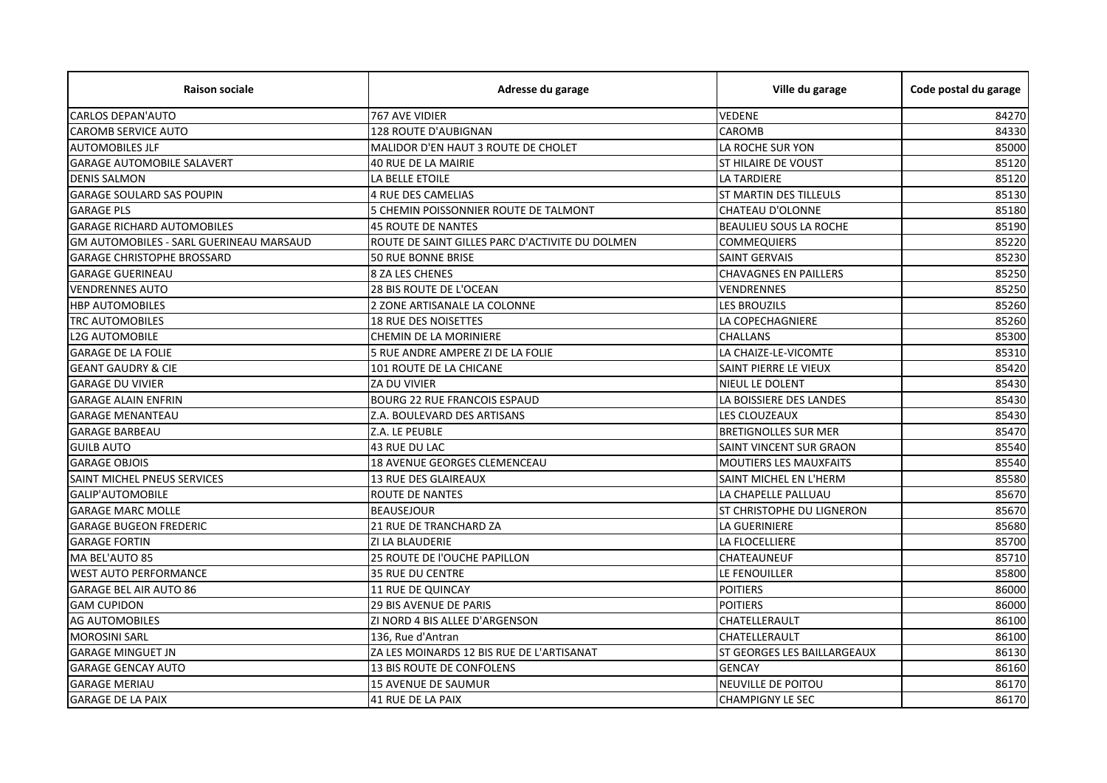| <b>Raison sociale</b>                   | Adresse du garage                               | Ville du garage                  | Code postal du garage |
|-----------------------------------------|-------------------------------------------------|----------------------------------|-----------------------|
| <b>CARLOS DEPAN'AUTO</b>                | 767 AVE VIDIER                                  | <b>VEDENE</b>                    | 84270                 |
| <b>CAROMB SERVICE AUTO</b>              | 128 ROUTE D'AUBIGNAN                            | CAROMB                           | 84330                 |
| <b>AUTOMOBILES JLF</b>                  | MALIDOR D'EN HAUT 3 ROUTE DE CHOLET             | LA ROCHE SUR YON                 | 85000                 |
| <b>GARAGE AUTOMOBILE SALAVERT</b>       | <b>40 RUE DE LA MAIRIE</b>                      | <b>ST HILAIRE DE VOUST</b>       | 85120                 |
| <b>DENIS SALMON</b>                     | LA BELLE ETOILE                                 | <b>LA TARDIERE</b>               | 85120                 |
| <b>GARAGE SOULARD SAS POUPIN</b>        | 4 RUE DES CAMELIAS                              | <b>ST MARTIN DES TILLEULS</b>    | 85130                 |
| <b>GARAGE PLS</b>                       | 5 CHEMIN POISSONNIER ROUTE DE TALMONT           | <b>CHATEAU D'OLONNE</b>          | 85180                 |
| <b>GARAGE RICHARD AUTOMOBILES</b>       | <b>45 ROUTE DE NANTES</b>                       | <b>BEAULIEU SOUS LA ROCHE</b>    | 85190                 |
| GM AUTOMOBILES - SARL GUERINEAU MARSAUD | ROUTE DE SAINT GILLES PARC D'ACTIVITE DU DOLMEN | <b>COMMEQUIERS</b>               | 85220                 |
| <b>GARAGE CHRISTOPHE BROSSARD</b>       | <b>50 RUE BONNE BRISE</b>                       | <b>SAINT GERVAIS</b>             | 85230                 |
| <b>GARAGE GUERINEAU</b>                 | 8 ZA LES CHENES                                 | <b>CHAVAGNES EN PAILLERS</b>     | 85250                 |
| <b>VENDRENNES AUTO</b>                  | <b>28 BIS ROUTE DE L'OCEAN</b>                  | <b>VENDRENNES</b>                | 85250                 |
| <b>HBP AUTOMOBILES</b>                  | 2 ZONE ARTISANALE LA COLONNE                    | <b>LES BROUZILS</b>              | 85260                 |
| <b>TRC AUTOMOBILES</b>                  | <b>18 RUE DES NOISETTES</b>                     | LA COPECHAGNIERE                 | 85260                 |
| <b>L2G AUTOMOBILE</b>                   | CHEMIN DE LA MORINIERE                          | <b>CHALLANS</b>                  | 85300                 |
| <b>GARAGE DE LA FOLIE</b>               | 5 RUE ANDRE AMPERE ZI DE LA FOLIE               | LA CHAIZE-LE-VICOMTE             | 85310                 |
| <b>GEANT GAUDRY &amp; CIE</b>           | 101 ROUTE DE LA CHICANE                         | SAINT PIERRE LE VIEUX            | 85420                 |
| <b>GARAGE DU VIVIER</b>                 | <b>ZA DU VIVIER</b>                             | NIEUL LE DOLENT                  | 85430                 |
| <b>GARAGE ALAIN ENFRIN</b>              | <b>BOURG 22 RUE FRANCOIS ESPAUD</b>             | LA BOISSIERE DES LANDES          | 85430                 |
| <b>GARAGE MENANTEAU</b>                 | Z.A. BOULEVARD DES ARTISANS                     | LES CLOUZEAUX                    | 85430                 |
| <b>GARAGE BARBEAU</b>                   | Z.A. LE PEUBLE                                  | <b>BRETIGNOLLES SUR MER</b>      | 85470                 |
| <b>GUILB AUTO</b>                       | 43 RUE DU LAC                                   | <b>SAINT VINCENT SUR GRAON</b>   | 85540                 |
| <b>GARAGE OBJOIS</b>                    | 18 AVENUE GEORGES CLEMENCEAU                    | <b>MOUTIERS LES MAUXFAITS</b>    | 85540                 |
| SAINT MICHEL PNEUS SERVICES             | <b>13 RUE DES GLAIREAUX</b>                     | SAINT MICHEL EN L'HERM           | 85580                 |
| <b>GALIP'AUTOMOBILE</b>                 | <b>ROUTE DE NANTES</b>                          | LA CHAPELLE PALLUAU              | 85670                 |
| <b>GARAGE MARC MOLLE</b>                | <b>BEAUSEJOUR</b>                               | <b>ST CHRISTOPHE DU LIGNERON</b> | 85670                 |
| <b>GARAGE BUGEON FREDERIC</b>           | 21 RUE DE TRANCHARD ZA                          | LA GUERINIERE                    | 85680                 |
| <b>GARAGE FORTIN</b>                    | ZI LA BLAUDERIE                                 | LA FLOCELLIERE                   | 85700                 |
| MA BEL'AUTO 85                          | 25 ROUTE DE l'OUCHE PAPILLON                    | CHATEAUNEUF                      | 85710                 |
| <b>WEST AUTO PERFORMANCE</b>            | 35 RUE DU CENTRE                                | LE FENOUILLER                    | 85800                 |
| <b>GARAGE BEL AIR AUTO 86</b>           | <b>11 RUE DE QUINCAY</b>                        | <b>POITIERS</b>                  | 86000                 |
| <b>GAM CUPIDON</b>                      | <b>29 BIS AVENUE DE PARIS</b>                   | <b>POITIERS</b>                  | 86000                 |
| <b>AG AUTOMOBILES</b>                   | ZI NORD 4 BIS ALLEE D'ARGENSON                  | CHATELLERAULT                    | 86100                 |
| <b>MOROSINI SARL</b>                    | 136, Rue d'Antran                               | CHATELLERAULT                    | 86100                 |
| <b>GARAGE MINGUET JN</b>                | ZA LES MOINARDS 12 BIS RUE DE L'ARTISANAT       | ST GEORGES LES BAILLARGEAUX      | 86130                 |
| <b>GARAGE GENCAY AUTO</b>               | <b>13 BIS ROUTE DE CONFOLENS</b>                | <b>GENCAY</b>                    | 86160                 |
| <b>GARAGE MERIAU</b>                    | <b>15 AVENUE DE SAUMUR</b>                      | NEUVILLE DE POITOU               | 86170                 |
| <b>GARAGE DE LA PAIX</b>                | 41 RUE DE LA PAIX                               | <b>CHAMPIGNY LE SEC</b>          | 86170                 |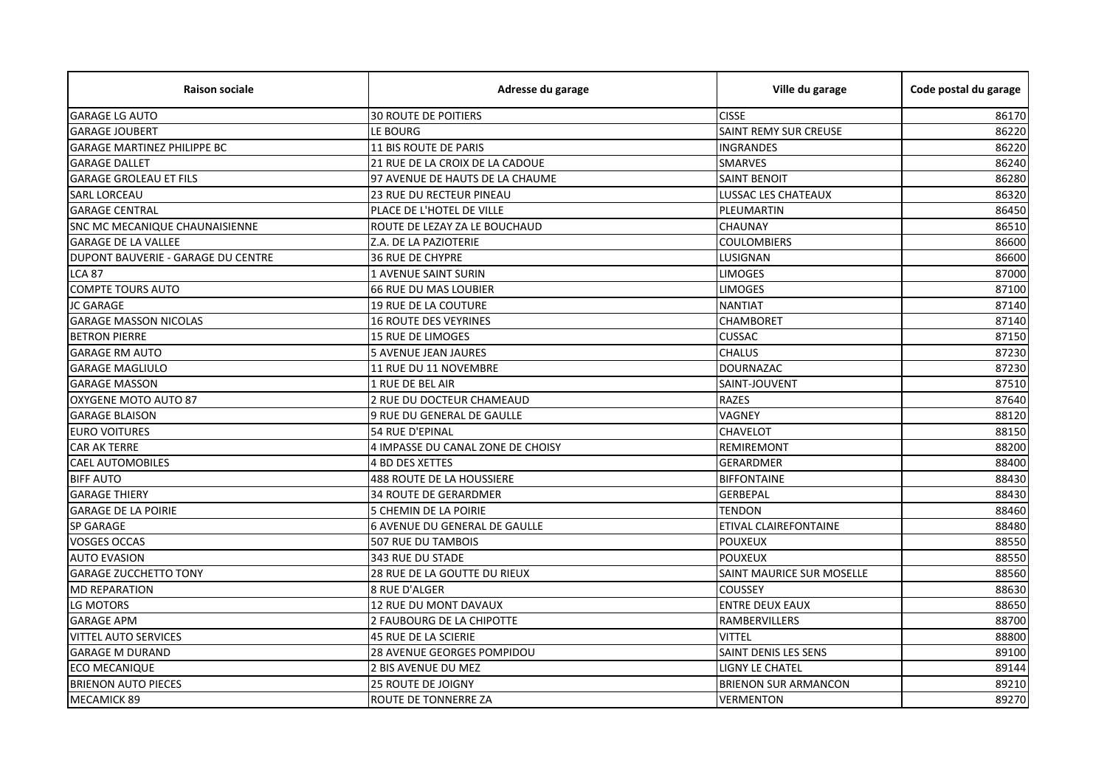| <b>Raison sociale</b>              | Adresse du garage                 | Ville du garage              | Code postal du garage |
|------------------------------------|-----------------------------------|------------------------------|-----------------------|
| <b>GARAGE LG AUTO</b>              | <b>30 ROUTE DE POITIERS</b>       | <b>CISSE</b>                 | 86170                 |
| <b>GARAGE JOUBERT</b>              | LE BOURG                          | <b>SAINT REMY SUR CREUSE</b> | 86220                 |
| <b>GARAGE MARTINEZ PHILIPPE BC</b> | 11 BIS ROUTE DE PARIS             | <b>INGRANDES</b>             | 86220                 |
| <b>GARAGE DALLET</b>               | 21 RUE DE LA CROIX DE LA CADOUE   | <b>SMARVES</b>               | 86240                 |
| <b>GARAGE GROLEAU ET FILS</b>      | 97 AVENUE DE HAUTS DE LA CHAUME   | <b>SAINT BENOIT</b>          | 86280                 |
| <b>SARL LORCEAU</b>                | 23 RUE DU RECTEUR PINEAU          | LUSSAC LES CHATEAUX          | 86320                 |
| <b>GARAGE CENTRAL</b>              | PLACE DE L'HOTEL DE VILLE         | PLEUMARTIN                   | 86450                 |
| SNC MC MECANIQUE CHAUNAISIENNE     | ROUTE DE LEZAY ZA LE BOUCHAUD     | CHAUNAY                      | 86510                 |
| <b>GARAGE DE LA VALLEE</b>         | Z.A. DE LA PAZIOTERIE             | <b>COULOMBIERS</b>           | 86600                 |
| DUPONT BAUVERIE - GARAGE DU CENTRE | <b>36 RUE DE CHYPRE</b>           | LUSIGNAN                     | 86600                 |
| <b>LCA 87</b>                      | <b>1 AVENUE SAINT SURIN</b>       | <b>LIMOGES</b>               | 87000                 |
| <b>COMPTE TOURS AUTO</b>           | <b>66 RUE DU MAS LOUBIER</b>      | <b>LIMOGES</b>               | 87100                 |
| <b>JC GARAGE</b>                   | <b>19 RUE DE LA COUTURE</b>       | <b>NANTIAT</b>               | 87140                 |
| <b>GARAGE MASSON NICOLAS</b>       | <b>16 ROUTE DES VEYRINES</b>      | <b>CHAMBORET</b>             | 87140                 |
| <b>BETRON PIERRE</b>               | <b>15 RUE DE LIMOGES</b>          | <b>CUSSAC</b>                | 87150                 |
| <b>GARAGE RM AUTO</b>              | <b>5 AVENUE JEAN JAURES</b>       | <b>CHALUS</b>                | 87230                 |
| <b>GARAGE MAGLIULO</b>             | 11 RUE DU 11 NOVEMBRE             | <b>DOURNAZAC</b>             | 87230                 |
| <b>GARAGE MASSON</b>               | 1 RUE DE BEL AIR                  | SAINT-JOUVENT                | 87510                 |
| OXYGENE MOTO AUTO 87               | 2 RUE DU DOCTEUR CHAMEAUD         | <b>RAZES</b>                 | 87640                 |
| <b>GARAGE BLAISON</b>              | 9 RUE DU GENERAL DE GAULLE        | <b>VAGNEY</b>                | 88120                 |
| <b>EURO VOITURES</b>               | 54 RUE D'EPINAL                   | <b>CHAVELOT</b>              | 88150                 |
| <b>CAR AK TERRE</b>                | 4 IMPASSE DU CANAL ZONE DE CHOISY | <b>REMIREMONT</b>            | 88200                 |
| <b>CAEL AUTOMOBILES</b>            | <b>4 BD DES XETTES</b>            | <b>GERARDMER</b>             | 88400                 |
| <b>BIFF AUTO</b>                   | <b>488 ROUTE DE LA HOUSSIERE</b>  | <b>BIFFONTAINE</b>           | 88430                 |
| <b>GARAGE THIERY</b>               | <b>34 ROUTE DE GERARDMER</b>      | <b>GERBEPAL</b>              | 88430                 |
| <b>GARAGE DE LA POIRIE</b>         | 5 CHEMIN DE LA POIRIE             | <b>TENDON</b>                | 88460                 |
| <b>SP GARAGE</b>                   | 6 AVENUE DU GENERAL DE GAULLE     | ETIVAL CLAIREFONTAINE        | 88480                 |
| <b>VOSGES OCCAS</b>                | 507 RUE DU TAMBOIS                | <b>POUXEUX</b>               | 88550                 |
| <b>AUTO EVASION</b>                | <b>343 RUE DU STADE</b>           | <b>POUXEUX</b>               | 88550                 |
| <b>GARAGE ZUCCHETTO TONY</b>       | 28 RUE DE LA GOUTTE DU RIEUX      | SAINT MAURICE SUR MOSELLE    | 88560                 |
| <b>MD REPARATION</b>               | 8 RUE D'ALGER                     | <b>COUSSEY</b>               | 88630                 |
| LG MOTORS                          | 12 RUE DU MONT DAVAUX             | <b>ENTRE DEUX EAUX</b>       | 88650                 |
| <b>GARAGE APM</b>                  | 2 FAUBOURG DE LA CHIPOTTE         | <b>RAMBERVILLERS</b>         | 88700                 |
| <b>VITTEL AUTO SERVICES</b>        | <b>45 RUE DE LA SCIERIE</b>       | <b>VITTEL</b>                | 88800                 |
| <b>GARAGE M DURAND</b>             | 28 AVENUE GEORGES POMPIDOU        | <b>SAINT DENIS LES SENS</b>  | 89100                 |
| <b>ECO MECANIQUE</b>               | 2 BIS AVENUE DU MEZ               | LIGNY LE CHATEL              | 89144                 |
| <b>BRIENON AUTO PIECES</b>         | <b>25 ROUTE DE JOIGNY</b>         | <b>BRIENON SUR ARMANCON</b>  | 89210                 |
| <b>MECAMICK 89</b>                 | ROUTE DE TONNERRE ZA              | <b>VERMENTON</b>             | 89270                 |